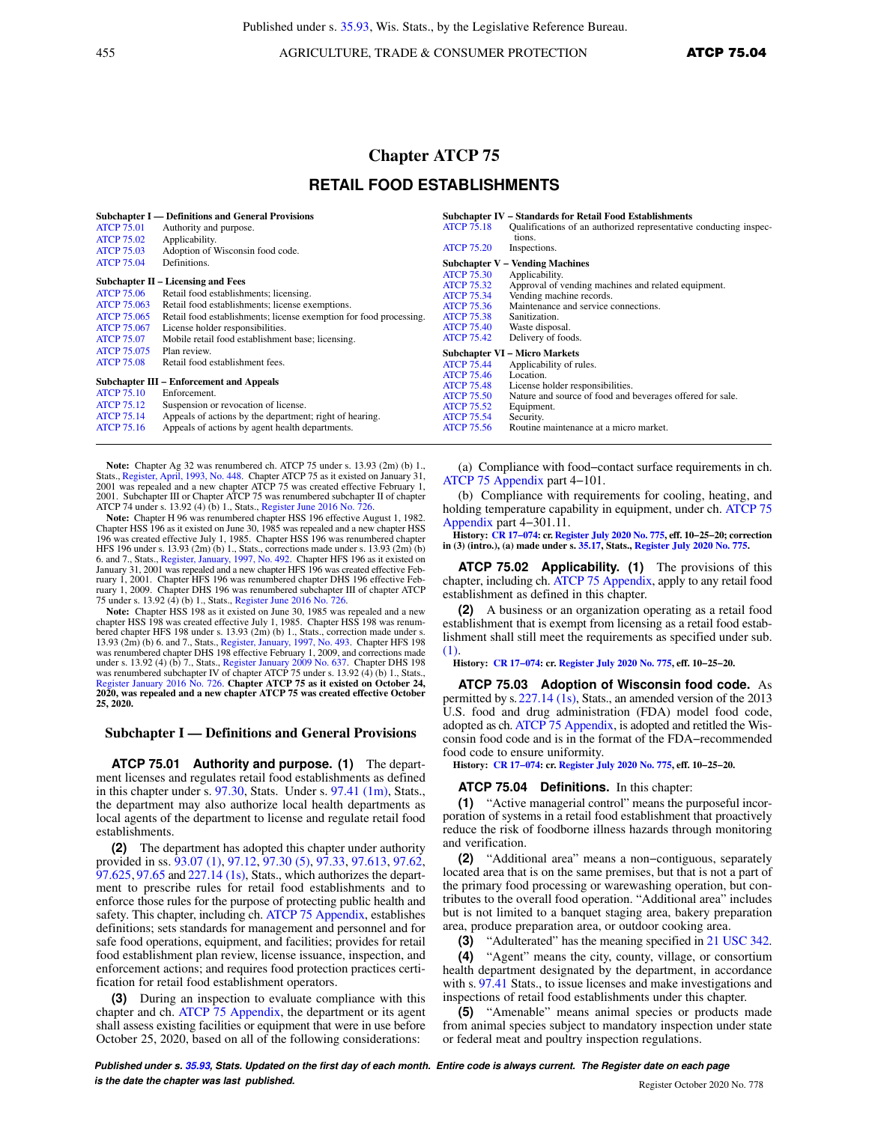455 AGRICULTURE, TRADE & CONSUMER PROTECTION ATCP 75.04

# **Chapter ATCP 75 RETAIL FOOD ESTABLISHMENTS**

| <b>ATCP 75.01</b><br><b>ATCP 75.02</b>                                                                   | Subchapter I — Definitions and General Provisions<br>Authority and purpose.<br>Applicability.                                                                                                                                                                                                  | <b>ATCP 75.18</b>                                                                                                                               | Subchapter IV – Standards for Retail Food Establishments<br>Qualifications of an authorized representative conducting inspec-<br>tions.                                                             |  |  |
|----------------------------------------------------------------------------------------------------------|------------------------------------------------------------------------------------------------------------------------------------------------------------------------------------------------------------------------------------------------------------------------------------------------|-------------------------------------------------------------------------------------------------------------------------------------------------|-----------------------------------------------------------------------------------------------------------------------------------------------------------------------------------------------------|--|--|
| <b>ATCP 75.03</b>                                                                                        | Adoption of Wisconsin food code.                                                                                                                                                                                                                                                               | <b>ATCP 75.20</b>                                                                                                                               | Inspections.                                                                                                                                                                                        |  |  |
| <b>ATCP 75.04</b>                                                                                        | Definitions.                                                                                                                                                                                                                                                                                   |                                                                                                                                                 | <b>Subchapter V – Vending Machines</b>                                                                                                                                                              |  |  |
| <b>ATCP 75.06</b><br><b>ATCP 75.063</b><br><b>ATCP 75.065</b><br><b>ATCP 75.067</b><br><b>ATCP 75.07</b> | Subchapter II – Licensing and Fees<br>Retail food establishments; licensing.<br>Retail food establishments; license exemptions.<br>Retail food establishments; license exemption for food processing.<br>License holder responsibilities.<br>Mobile retail food establishment base; licensing. | <b>ATCP 75.30</b><br><b>ATCP 75.32</b><br><b>ATCP 75.34</b><br><b>ATCP 75.36</b><br><b>ATCP 75.38</b><br><b>ATCP 75.40</b><br><b>ATCP 75.42</b> | Applicability.<br>Approval of vending machines and related equipment.<br>Vending machine records.<br>Maintenance and service connections.<br>Sanitization.<br>Waste disposal.<br>Delivery of foods. |  |  |
| <b>ATCP 75.075</b><br>Plan review.                                                                       |                                                                                                                                                                                                                                                                                                | <b>Subchapter VI - Micro Markets</b>                                                                                                            |                                                                                                                                                                                                     |  |  |
| <b>ATCP 75.08</b>                                                                                        | Retail food establishment fees.                                                                                                                                                                                                                                                                | <b>ATCP 75.44</b>                                                                                                                               | Applicability of rules.                                                                                                                                                                             |  |  |
|                                                                                                          | Subchapter III – Enforcement and Appeals                                                                                                                                                                                                                                                       | <b>ATCP 75.46</b><br><b>ATCP 75.48</b>                                                                                                          | Location.<br>License holder responsibilities.                                                                                                                                                       |  |  |
| <b>ATCP 75.10</b>                                                                                        | Enforcement.                                                                                                                                                                                                                                                                                   | <b>ATCP 75.50</b>                                                                                                                               | Nature and source of food and beverages offered for sale.                                                                                                                                           |  |  |
| <b>ATCP 75.12</b>                                                                                        | Suspension or revocation of license.                                                                                                                                                                                                                                                           | <b>ATCP 75.52</b>                                                                                                                               | Equipment.                                                                                                                                                                                          |  |  |
| <b>ATCP 75.14</b>                                                                                        | Appeals of actions by the department; right of hearing.                                                                                                                                                                                                                                        | <b>ATCP 75.54</b>                                                                                                                               | Security.                                                                                                                                                                                           |  |  |
| <b>ATCP 75.16</b>                                                                                        | Appeals of actions by agent health departments.                                                                                                                                                                                                                                                | <b>ATCP 75.56</b>                                                                                                                               | Routine maintenance at a micro market.                                                                                                                                                              |  |  |

**Note:** Chapter Ag 32 was renumbered ch. ATCP 75 under s. 13.93 (2m) (b) 1., Stats., [Register, April, 1993, No. 448](https://docs.legis.wisconsin.gov/document/register/448/B/toc). Chapter ATCP 75 as it existed on January 31, 2001 was repealed and a new chapter ATCP 75 was created effective February 1, 2001. Subchapter III or Chapter ATCP 75 was renumbered subchapter II of chapter ATCP 74 under s. 13.92 (4) (b) 1., Stats., [Register June 2016 No. 726](https://docs.legis.wisconsin.gov/document/register/726/B/toc).

**Note:** Chapter H 96 was renumbered chapter HSS 196 effective August 1, 1982. Chapter HSS 196 as it existed on June 30, 1985 was repealed and a new chapter HSS 196 was created effective July 1, 1985. Chapter HSS 196 was renumbered chapter HFS 196 under s. 13.93 (2m) (b) 1., Stats., corrections made under s. 13.93 (2m) (b)<br>6. and 7., Stats., [Register, January, 1997, No. 492](https://docs.legis.wisconsin.gov/document/register/492/B/toc). Chapter HFS 196 as it existed on<br>January 31, 2001 was repealed and a new chapter HFS ruary 1, 2001. Chapter HFS 196 was renumbered chapter DHS 196 effective February 1, 2009.Chapter DHS 196 was renumbered subchapter III of chapter ATCP

75 under s. 13.92 (4) (b) 1., Stats., [Register June 2016 No. 726.](https://docs.legis.wisconsin.gov/document/register/726/B/toc) **Note:** Chapter HSS 198 as it existed on June 30, 1985 was repealed and a new chapter HSS 198 was created effective July 1, 1985. Chapter HSS 198 was renumbered chapter HFS 198 under s. 13.93 (2m) (b) 1., Stats., correction made under s. 13.93 (2m) (b) 6. and 7., Stats., [Register, January, 1997, No. 493](https://docs.legis.wisconsin.gov/document/register/493/B/toc). Chapter HFS 198 was renumbered chapter DHS 198 effective February 1, 2009, and corrections made under s. 13.92 (4) (b) 7., Stats., [Register January 2009 No. 637](https://docs.legis.wisconsin.gov/document/register/637/B/toc).Chapter DHS 198 was renumbered subchapter IV of chapter ATCP 75 under s. 13.92 (4) (b) 1., Stats. [Register January 2016 No. 726](https://docs.legis.wisconsin.gov/document/register/726/B/toc). **Chapter ATCP 75 as it existed on October 24, 2020, was repealed and a new chapter ATCP 75 was created effective October 25, 2020.**

## **Subchapter I — Definitions and General Provisions**

**ATCP 75.01 Authority and purpose. (1)** The department licenses and regulates retail food establishments as defined in this chapter under s. [97.30](https://docs.legis.wisconsin.gov/document/statutes/97.30), Stats. Under s. [97.41 \(1m\)](https://docs.legis.wisconsin.gov/document/statutes/97.41(1m)), Stats., the department may also authorize local health departments as local agents of the department to license and regulate retail food establishments.

**(2)** The department has adopted this chapter under authority provided in ss. [93.07 \(1\)](https://docs.legis.wisconsin.gov/document/statutes/93.07(1)), [97.12,](https://docs.legis.wisconsin.gov/document/statutes/97.12) [97.30 \(5\),](https://docs.legis.wisconsin.gov/document/statutes/97.30(5)) [97.33](https://docs.legis.wisconsin.gov/document/statutes/97.33), [97.613,](https://docs.legis.wisconsin.gov/document/statutes/97.613) [97.62,](https://docs.legis.wisconsin.gov/document/statutes/97.62) [97.625,](https://docs.legis.wisconsin.gov/document/statutes/97.625) [97.65](https://docs.legis.wisconsin.gov/document/statutes/97.65) and [227.14 \(1s\),](https://docs.legis.wisconsin.gov/document/statutes/227.14(1s)) Stats., which authorizes the department to prescribe rules for retail food establishments and to enforce those rules for the purpose of protecting public health and safety. This chapter, including ch. [ATCP 75 Appendix](https://docs.legis.wisconsin.gov/document/administrativecode/ch.%20ATCP%2075%20Appendix), establishes definitions; sets standards for management and personnel and for safe food operations, equipment, and facilities; provides for retail food establishment plan review, license issuance, inspection, and enforcement actions; and requires food protection practices certification for retail food establishment operators.

**(3)** During an inspection to evaluate compliance with this chapter and ch. [ATCP 75 Appendix,](https://docs.legis.wisconsin.gov/document/administrativecode/ch.%20ATCP%2075%20Appendix) the department or its agent shall assess existing facilities or equipment that were in use before October 25, 2020, based on all of the following considerations:

(a) Compliance with food−contact surface requirements in ch. [ATCP 75 Appendix](https://docs.legis.wisconsin.gov/document/administrativecode/ch.%20ATCP%2075%20Appendix) part 4−101.

(b) Compliance with requirements for cooling, heating, and holding temperature capability in equipment, under ch. [ATCP 75](https://docs.legis.wisconsin.gov/document/administrativecode/ch.%20ATCP%2075%20Appendix) [Appendix](https://docs.legis.wisconsin.gov/document/administrativecode/ch.%20ATCP%2075%20Appendix) part 4−301.11.

**History: [CR 17−074:](https://docs.legis.wisconsin.gov/document/cr/2017/74) cr. [Register July 2020 No. 775](https://docs.legis.wisconsin.gov/document/register/775/B/toc), eff. 10−25−20; correction in (3) (intro.), (a) made under s. [35.17,](https://docs.legis.wisconsin.gov/document/statutes/35.17) Stats., [Register July 2020 No. 775.](https://docs.legis.wisconsin.gov/document/register/775/B/toc)**

**ATCP 75.02 Applicability. (1)** The provisions of this chapter, including ch. [ATCP 75 Appendix,](https://docs.legis.wisconsin.gov/document/administrativecode/ch.%20ATCP%2075%20Appendix) apply to any retail food establishment as defined in this chapter.

**(2)** A business or an organization operating as a retail food establishment that is exempt from licensing as a retail food establishment shall still meet the requirements as specified under sub. [\(1\).](https://docs.legis.wisconsin.gov/document/administrativecode/ATCP%2075.02(1))

**History: [CR 17−074:](https://docs.legis.wisconsin.gov/document/cr/2017/74) cr. [Register July 2020 No. 775](https://docs.legis.wisconsin.gov/document/register/775/B/toc), eff. 10−25−20.**

**ATCP 75.03 Adoption of Wisconsin food code.** As permitted by s.[227.14 \(1s\),](https://docs.legis.wisconsin.gov/document/statutes/227.14(1s)) Stats., an amended version of the 2013 U.S. food and drug administration (FDA) model food code, adopted as ch. [ATCP 75 Appendix](https://docs.legis.wisconsin.gov/document/administrativecode/ch.%20ATCP%2075%20Appendix), is adopted and retitled the Wisconsin food code and is in the format of the FDA−recommended food code to ensure uniformity.

**History: [CR 17−074:](https://docs.legis.wisconsin.gov/document/cr/2017/74) cr. [Register July 2020 No. 775](https://docs.legis.wisconsin.gov/document/register/775/B/toc), eff. 10−25−20.**

#### **ATCP 75.04 Definitions.** In this chapter:

**(1)** "Active managerial control" means the purposeful incorporation of systems in a retail food establishment that proactively reduce the risk of foodborne illness hazards through monitoring and verification.

**(2)** "Additional area" means a non−contiguous, separately located area that is on the same premises, but that is not a part of the primary food processing or warewashing operation, but contributes to the overall food operation. "Additional area" includes but is not limited to a banquet staging area, bakery preparation area, produce preparation area, or outdoor cooking area.

**(3)** "Adulterated" has the meaning specified in [21 USC 342.](https://docs.legis.wisconsin.gov/document/usc/21%20USC%20342)

**(4)** "Agent" means the city, county, village, or consortium health department designated by the department, in accordance with s. [97.41](https://docs.legis.wisconsin.gov/document/statutes/97.41) Stats., to issue licenses and make investigations and inspections of retail food establishments under this chapter.

**(5)** "Amenable" means animal species or products made from animal species subject to mandatory inspection under state or federal meat and poultry inspection regulations.

**Published under s. [35.93,](https://docs.legis.wisconsin.gov/document/statutes/35.93) Stats. Updated on the first day of each month. Entire code is always current. The Register date on each page is the date the chapter was last published. Compared All Security Compared All Security Compared All Security Compared All Security Compared Register October 2020 No. 778**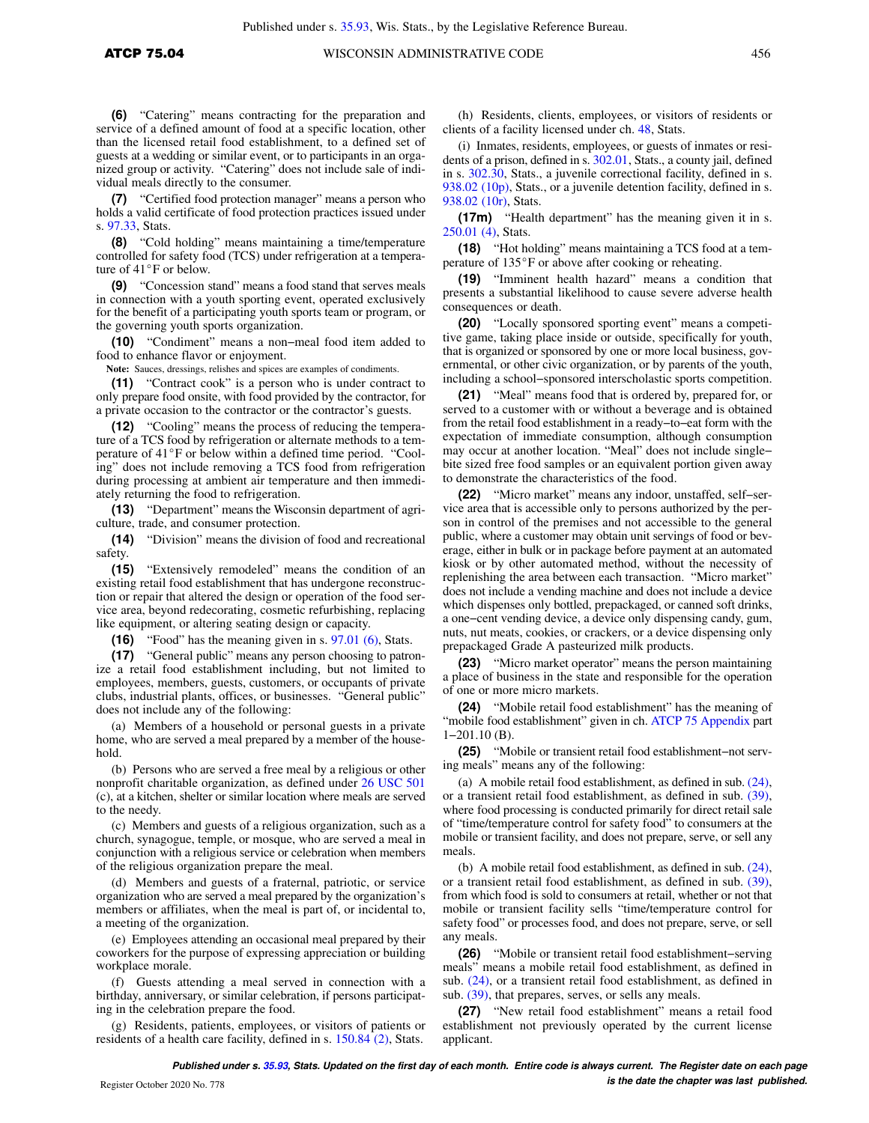**(6)** "Catering" means contracting for the preparation and service of a defined amount of food at a specific location, other than the licensed retail food establishment, to a defined set of guests at a wedding or similar event, or to participants in an organized group or activity. "Catering" does not include sale of individual meals directly to the consumer.

**(7)** "Certified food protection manager" means a person who holds a valid certificate of food protection practices issued under s. [97.33](https://docs.legis.wisconsin.gov/document/statutes/97.33), Stats.

**(8)** "Cold holding" means maintaining a time/temperature controlled for safety food (TCS) under refrigeration at a temperature of  $41^{\circ}$ F or below.

**(9)** "Concession stand" means a food stand that serves meals in connection with a youth sporting event, operated exclusively for the benefit of a participating youth sports team or program, or the governing youth sports organization.

**(10)** "Condiment" means a non−meal food item added to food to enhance flavor or enjoyment.

**Note:** Sauces, dressings, relishes and spices are examples of condiments.

**(11)** "Contract cook" is a person who is under contract to only prepare food onsite, with food provided by the contractor, for a private occasion to the contractor or the contractor's guests.

**(12)** "Cooling" means the process of reducing the temperature of a TCS food by refrigeration or alternate methods to a temperature of  $41^{\circ}$ F or below within a defined time period. "Cooling" does not include removing a TCS food from refrigeration during processing at ambient air temperature and then immediately returning the food to refrigeration.

**(13)** "Department" means the Wisconsin department of agriculture, trade, and consumer protection.

**(14)** "Division" means the division of food and recreational safety.

**(15)** "Extensively remodeled" means the condition of an existing retail food establishment that has undergone reconstruction or repair that altered the design or operation of the food service area, beyond redecorating, cosmetic refurbishing, replacing like equipment, or altering seating design or capacity.

**(16)** "Food" has the meaning given in s. [97.01 \(6\),](https://docs.legis.wisconsin.gov/document/statutes/97.01(6)) Stats.

**(17)** "General public" means any person choosing to patronize a retail food establishment including, but not limited to employees, members, guests, customers, or occupants of private clubs, industrial plants, offices, or businesses. "General public" does not include any of the following:

(a) Members of a household or personal guests in a private home, who are served a meal prepared by a member of the household.

(b) Persons who are served a free meal by a religious or other nonprofit charitable organization, as defined under [26 USC 501](https://docs.legis.wisconsin.gov/document/usc/26%20USC%20501) (c), at a kitchen, shelter or similar location where meals are served to the needy.

(c) Members and guests of a religious organization, such as a church, synagogue, temple, or mosque, who are served a meal in conjunction with a religious service or celebration when members of the religious organization prepare the meal.

(d) Members and guests of a fraternal, patriotic, or service organization who are served a meal prepared by the organization's members or affiliates, when the meal is part of, or incidental to, a meeting of the organization.

(e) Employees attending an occasional meal prepared by their coworkers for the purpose of expressing appreciation or building workplace morale.

(f) Guests attending a meal served in connection with a birthday, anniversary, or similar celebration, if persons participating in the celebration prepare the food.

(g) Residents, patients, employees, or visitors of patients or residents of a health care facility, defined in s. [150.84 \(2\)](https://docs.legis.wisconsin.gov/document/statutes/150.84(2)), Stats.

(h) Residents, clients, employees, or visitors of residents or clients of a facility licensed under ch. [48,](https://docs.legis.wisconsin.gov/document/statutes/ch.%2048) Stats.

(i) Inmates, residents, employees, or guests of inmates or residents of a prison, defined in s. [302.01,](https://docs.legis.wisconsin.gov/document/statutes/302.01) Stats., a county jail, defined in s. [302.30](https://docs.legis.wisconsin.gov/document/statutes/302.30), Stats., a juvenile correctional facility, defined in s. [938.02 \(10p\),](https://docs.legis.wisconsin.gov/document/statutes/938.02(10p)) Stats., or a juvenile detention facility, defined in s. [938.02 \(10r\)](https://docs.legis.wisconsin.gov/document/statutes/938.02(10r)), Stats.

**(17m)** "Health department" has the meaning given it in s. [250.01 \(4\),](https://docs.legis.wisconsin.gov/document/statutes/250.01(4)) Stats.

**(18)** "Hot holding" means maintaining a TCS food at a temperature of  $135^{\circ}$ F or above after cooking or reheating.

**(19)** "Imminent health hazard" means a condition that presents a substantial likelihood to cause severe adverse health consequences or death.

**(20)** "Locally sponsored sporting event" means a competitive game, taking place inside or outside, specifically for youth, that is organized or sponsored by one or more local business, governmental, or other civic organization, or by parents of the youth, including a school−sponsored interscholastic sports competition.

**(21)** "Meal" means food that is ordered by, prepared for, or served to a customer with or without a beverage and is obtained from the retail food establishment in a ready−to−eat form with the expectation of immediate consumption, although consumption may occur at another location. "Meal" does not include single− bite sized free food samples or an equivalent portion given away to demonstrate the characteristics of the food.

**(22)** "Micro market" means any indoor, unstaffed, self−service area that is accessible only to persons authorized by the person in control of the premises and not accessible to the general public, where a customer may obtain unit servings of food or beverage, either in bulk or in package before payment at an automated kiosk or by other automated method, without the necessity of replenishing the area between each transaction. "Micro market" does not include a vending machine and does not include a device which dispenses only bottled, prepackaged, or canned soft drinks, a one−cent vending device, a device only dispensing candy, gum, nuts, nut meats, cookies, or crackers, or a device dispensing only prepackaged Grade A pasteurized milk products.

**(23)** "Micro market operator" means the person maintaining a place of business in the state and responsible for the operation of one or more micro markets.

**(24)** "Mobile retail food establishment" has the meaning of "mobile food establishment" given in ch. [ATCP 75 Appendix](https://docs.legis.wisconsin.gov/document/administrativecode/ch.%20ATCP%2075%20Appendix) part 1−201.10 (B).

**(25)** "Mobile or transient retail food establishment−not serving meals" means any of the following:

(a) A mobile retail food establishment, as defined in sub. [\(24\),](https://docs.legis.wisconsin.gov/document/administrativecode/ATCP%2075.04(24)) or a transient retail food establishment, as defined in sub. [\(39\),](https://docs.legis.wisconsin.gov/document/administrativecode/ATCP%2075.04(39)) where food processing is conducted primarily for direct retail sale of "time/temperature control for safety food" to consumers at the mobile or transient facility, and does not prepare, serve, or sell any meals.

(b) A mobile retail food establishment, as defined in sub. [\(24\),](https://docs.legis.wisconsin.gov/document/administrativecode/ATCP%2075.04(24)) or a transient retail food establishment, as defined in sub. [\(39\),](https://docs.legis.wisconsin.gov/document/administrativecode/ATCP%2075.04(39)) from which food is sold to consumers at retail, whether or not that mobile or transient facility sells "time/temperature control for safety food" or processes food, and does not prepare, serve, or sell any meals.

**(26)** "Mobile or transient retail food establishment−serving meals" means a mobile retail food establishment, as defined in sub. [\(24\),](https://docs.legis.wisconsin.gov/document/administrativecode/ATCP%2075.04(24)) or a transient retail food establishment, as defined in sub. [\(39\)](https://docs.legis.wisconsin.gov/document/administrativecode/ATCP%2075.04(39)), that prepares, serves, or sells any meals.

**(27)** "New retail food establishment" means a retail food establishment not previously operated by the current license applicant.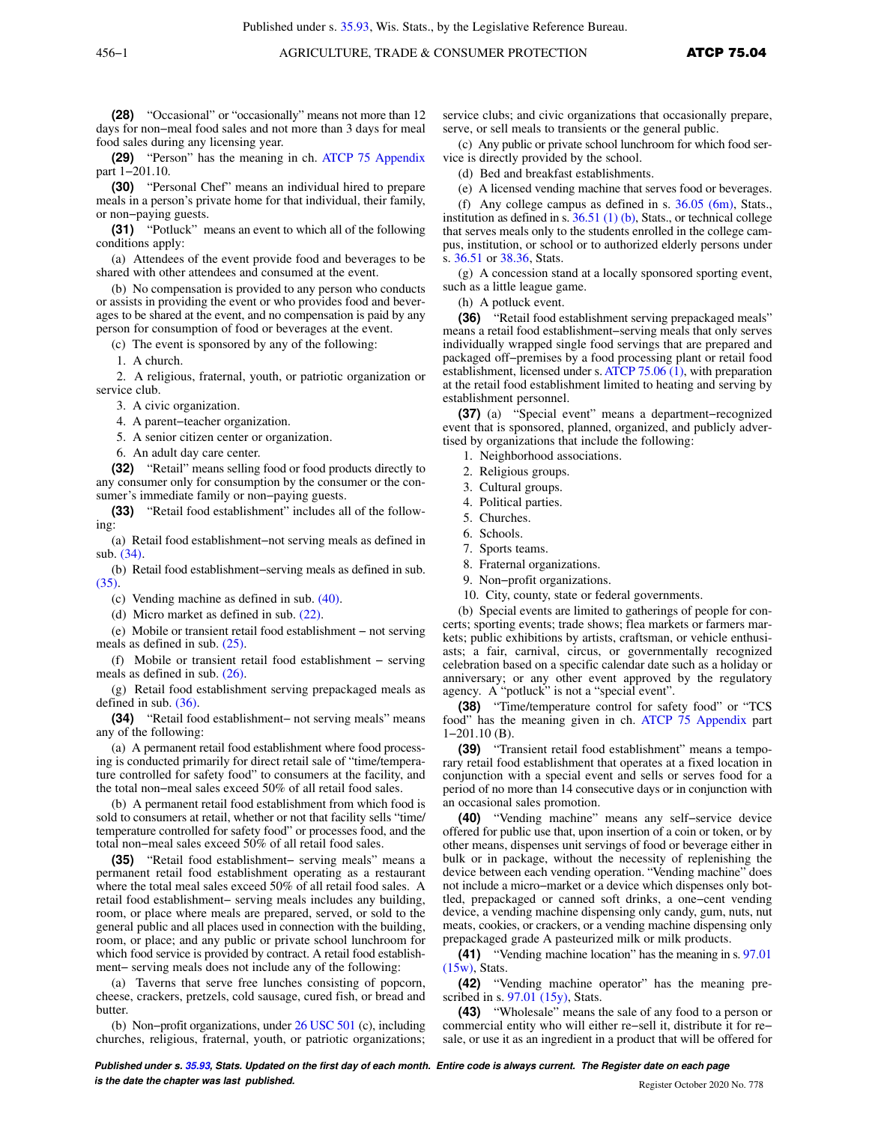**(28)** "Occasional" or "occasionally" means not more than 12 days for non−meal food sales and not more than 3 days for meal food sales during any licensing year.

**(29)** "Person" has the meaning in ch. [ATCP 75 Appendix](https://docs.legis.wisconsin.gov/document/administrativecode/ch.%20ATCP%2075%20Appendix) part 1−201.10.

**(30)** "Personal Chef" means an individual hired to prepare meals in a person's private home for that individual, their family, or non−paying guests.

**(31)** "Potluck" means an event to which all of the following conditions apply:

(a) Attendees of the event provide food and beverages to be shared with other attendees and consumed at the event.

(b) No compensation is provided to any person who conducts or assists in providing the event or who provides food and beverages to be shared at the event, and no compensation is paid by any person for consumption of food or beverages at the event.

(c) The event is sponsored by any of the following:

1. A church.

2. A religious, fraternal, youth, or patriotic organization or service club.

3. A civic organization.

4. A parent−teacher organization.

5. A senior citizen center or organization.

6. An adult day care center.

**(32)** "Retail" means selling food or food products directly to any consumer only for consumption by the consumer or the consumer's immediate family or non−paying guests.

**(33)** "Retail food establishment" includes all of the following:

(a) Retail food establishment−not serving meals as defined in sub. [\(34\).](https://docs.legis.wisconsin.gov/document/administrativecode/ATCP%2075.04(34))

(b) Retail food establishment−serving meals as defined in sub. [\(35\).](https://docs.legis.wisconsin.gov/document/administrativecode/ATCP%2075.04(35))

(c) Vending machine as defined in sub. [\(40\)](https://docs.legis.wisconsin.gov/document/administrativecode/ATCP%2075.04(40)).

(d) Micro market as defined in sub. [\(22\)](https://docs.legis.wisconsin.gov/document/administrativecode/ATCP%2075.04(22)).

(e) Mobile or transient retail food establishment − not serving meals as defined in sub. [\(25\).](https://docs.legis.wisconsin.gov/document/administrativecode/ATCP%2075.04(25))

(f) Mobile or transient retail food establishment − serving meals as defined in sub. [\(26\).](https://docs.legis.wisconsin.gov/document/administrativecode/ATCP%2075.04(26))

(g) Retail food establishment serving prepackaged meals as defined in sub. [\(36\).](https://docs.legis.wisconsin.gov/document/administrativecode/ATCP%2075.04(36))

**(34)** "Retail food establishment− not serving meals" means any of the following:

(a) A permanent retail food establishment where food processing is conducted primarily for direct retail sale of "time/temperature controlled for safety food" to consumers at the facility, and the total non−meal sales exceed 50% of all retail food sales.

(b) A permanent retail food establishment from which food is sold to consumers at retail, whether or not that facility sells "time/ temperature controlled for safety food" or processes food, and the total non−meal sales exceed 50% of all retail food sales.

**(35)** "Retail food establishment− serving meals" means a permanent retail food establishment operating as a restaurant where the total meal sales exceed 50% of all retail food sales. A retail food establishment− serving meals includes any building, room, or place where meals are prepared, served, or sold to the general public and all places used in connection with the building, room, or place; and any public or private school lunchroom for which food service is provided by contract. A retail food establishment− serving meals does not include any of the following:

(a) Taverns that serve free lunches consisting of popcorn, cheese, crackers, pretzels, cold sausage, cured fish, or bread and butter.

(b) Non−profit organizations, under [26 USC 501](https://docs.legis.wisconsin.gov/document/usc/26%20USC%20501) (c), including churches, religious, fraternal, youth, or patriotic organizations;

service clubs; and civic organizations that occasionally prepare, serve, or sell meals to transients or the general public.

(c) Any public or private school lunchroom for which food service is directly provided by the school.

(d) Bed and breakfast establishments.

(e) A licensed vending machine that serves food or beverages.

(f) Any college campus as defined in s. [36.05 \(6m\),](https://docs.legis.wisconsin.gov/document/statutes/36.05(6m)) Stats., institution as defined in s.  $36.51$  (1) (b), Stats., or technical college that serves meals only to the students enrolled in the college campus, institution, or school or to authorized elderly persons under s. [36.51](https://docs.legis.wisconsin.gov/document/statutes/36.51) or [38.36](https://docs.legis.wisconsin.gov/document/statutes/38.36), Stats.

(g) A concession stand at a locally sponsored sporting event, such as a little league game.

(h) A potluck event.

**(36)** "Retail food establishment serving prepackaged meals" means a retail food establishment−serving meals that only serves individually wrapped single food servings that are prepared and packaged off−premises by a food processing plant or retail food establishment, licensed under s. [ATCP 75.06 \(1\),](https://docs.legis.wisconsin.gov/document/administrativecode/ATCP%2075.06(1)) with preparation at the retail food establishment limited to heating and serving by establishment personnel.

**(37)** (a) "Special event" means a department−recognized event that is sponsored, planned, organized, and publicly advertised by organizations that include the following:

- 1. Neighborhood associations.
- 2. Religious groups.
- 3. Cultural groups.
- 4. Political parties.
- 5. Churches.
- 6. Schools.
- 7. Sports teams.
- 8. Fraternal organizations.
- 9. Non−profit organizations.
- 10. City, county, state or federal governments.

(b) Special events are limited to gatherings of people for concerts; sporting events; trade shows; flea markets or farmers markets; public exhibitions by artists, craftsman, or vehicle enthusiasts; a fair, carnival, circus, or governmentally recognized celebration based on a specific calendar date such as a holiday or anniversary; or any other event approved by the regulatory agency. A "potluck" is not a "special event".

**(38)** "Time/temperature control for safety food" or "TCS food" has the meaning given in ch. [ATCP 75 Appendix](https://docs.legis.wisconsin.gov/document/administrativecode/ch.%20ATCP%2075%20Appendix) part 1−201.10 (B).

**(39)** "Transient retail food establishment" means a temporary retail food establishment that operates at a fixed location in conjunction with a special event and sells or serves food for a period of no more than 14 consecutive days or in conjunction with an occasional sales promotion.

**(40)** "Vending machine" means any self−service device offered for public use that, upon insertion of a coin or token, or by other means, dispenses unit servings of food or beverage either in bulk or in package, without the necessity of replenishing the device between each vending operation. "Vending machine" does not include a micro−market or a device which dispenses only bottled, prepackaged or canned soft drinks, a one−cent vending device, a vending machine dispensing only candy, gum, nuts, nut meats, cookies, or crackers, or a vending machine dispensing only prepackaged grade A pasteurized milk or milk products.

**(41)** "Vending machine location" has the meaning in s. [97.01](https://docs.legis.wisconsin.gov/document/statutes/97.01(15w))  $(15w)$ , Stats.

**(42)** "Vending machine operator" has the meaning prescribed in s. [97.01 \(15y\)](https://docs.legis.wisconsin.gov/document/statutes/97.01(15y)), Stats.

**(43)** "Wholesale" means the sale of any food to a person or commercial entity who will either re−sell it, distribute it for re− sale, or use it as an ingredient in a product that will be offered for

**Published under s. [35.93,](https://docs.legis.wisconsin.gov/document/statutes/35.93) Stats. Updated on the first day of each month. Entire code is always current. The Register date on each page is the date the chapter was last published. Compared All Security Compared All Security Compared All Security Compared All Security Compared Register October 2020 No. 778**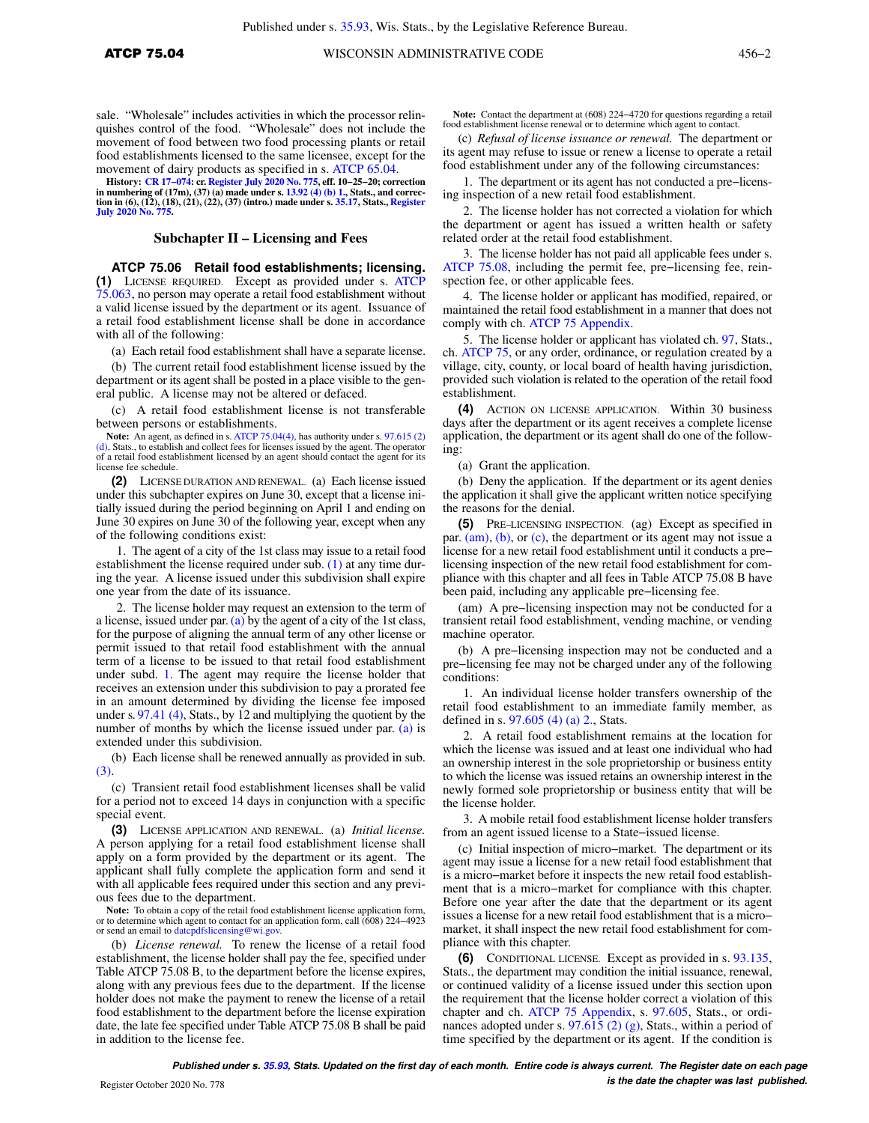sale. "Wholesale" includes activities in which the processor relinquishes control of the food. "Wholesale" does not include the movement of food between two food processing plants or retail food establishments licensed to the same licensee, except for the movement of dairy products as specified in s. [ATCP 65.04](https://docs.legis.wisconsin.gov/document/administrativecode/ATCP%2065.04).

History: CR 17–074: cr. [Register July 2020 No. 775](https://docs.legis.wisconsin.gov/document/register/775/B/toc), eff. 10–25–20; correction<br>in numbering of (17m), (37) (a) made under s. [13.92 \(4\) \(b\) 1.](https://docs.legis.wisconsin.gov/document/statutes/13.92(4)(b)1.), Stats., and correc-<br>tion in (6), (12), (18), (21), (22), (37) (intro.) made unde **[July 2020 No. 775.](https://docs.legis.wisconsin.gov/document/register/775/B/toc)**

#### **Subchapter II – Licensing and Fees**

**ATCP 75.06 Retail food establishments; licensing. (1)** LICENSE REQUIRED. Except as provided under s. [ATCP](https://docs.legis.wisconsin.gov/document/administrativecode/ATCP%2075.063) [75.063,](https://docs.legis.wisconsin.gov/document/administrativecode/ATCP%2075.063) no person may operate a retail food establishment without a valid license issued by the department or its agent. Issuance of a retail food establishment license shall be done in accordance with all of the following:

(a) Each retail food establishment shall have a separate license.

(b) The current retail food establishment license issued by the department or its agent shall be posted in a place visible to the general public. A license may not be altered or defaced.

(c) A retail food establishment license is not transferable between persons or establishments.

**Note:** An agent, as defined in s. [ATCP 75.04\(4\)](https://docs.legis.wisconsin.gov/document/administrativecode/ATCP%2075.04(4)), has authority under s. [97.615 \(2\)](https://docs.legis.wisconsin.gov/document/statutes/97.615(2)(d)) [\(d\),](https://docs.legis.wisconsin.gov/document/statutes/97.615(2)(d)) Stats., to establish and collect fees for licenses issued by the agent. The operator of a retail food establishment licensed by an agent should contact the agent for its license fee schedule.

**(2)** LICENSE DURATION AND RENEWAL. (a) Each license issued under this subchapter expires on June 30, except that a license initially issued during the period beginning on April 1 and ending on June 30 expires on June 30 of the following year, except when any of the following conditions exist:

1. The agent of a city of the 1st class may issue to a retail food establishment the license required under sub. [\(1\)](https://docs.legis.wisconsin.gov/document/administrativecode/ATCP%2075.06(1)) at any time during the year. A license issued under this subdivision shall expire one year from the date of its issuance.

2. The license holder may request an extension to the term of a license, issued under par.  $(a)$  by the agent of a city of the 1st class, for the purpose of aligning the annual term of any other license or permit issued to that retail food establishment with the annual term of a license to be issued to that retail food establishment under subd. [1.](https://docs.legis.wisconsin.gov/document/administrativecode/ATCP%2075.06(2)(a)1.) The agent may require the license holder that receives an extension under this subdivision to pay a prorated fee in an amount determined by dividing the license fee imposed under s. [97.41 \(4\)](https://docs.legis.wisconsin.gov/document/statutes/97.41(4)), Stats., by 12 and multiplying the quotient by the number of months by which the license issued under par. [\(a\)](https://docs.legis.wisconsin.gov/document/administrativecode/ATCP%2075.06(2)(a)) is extended under this subdivision.

(b) Each license shall be renewed annually as provided in sub. [\(3\)](https://docs.legis.wisconsin.gov/document/administrativecode/ATCP%2075.06(3)).

(c) Transient retail food establishment licenses shall be valid for a period not to exceed 14 days in conjunction with a specific special event.

**(3)** LICENSE APPLICATION AND RENEWAL. (a) *Initial license.* A person applying for a retail food establishment license shall apply on a form provided by the department or its agent. The applicant shall fully complete the application form and send it with all applicable fees required under this section and any previous fees due to the department.

**Note:** To obtain a copy of the retail food establishment license application form, or to determine which agent to contact for an application form, call (608) 224−4923 or send an email to [datcpdfslicensing@wi.gov.](mailto:datcpdfslicensing@wi.gov)

(b) *License renewal.* To renew the license of a retail food establishment, the license holder shall pay the fee, specified under Table ATCP 75.08 B, to the department before the license expires, along with any previous fees due to the department. If the license holder does not make the payment to renew the license of a retail food establishment to the department before the license expiration date, the late fee specified under Table ATCP 75.08 B shall be paid in addition to the license fee.

**Note:** Contact the department at (608) 224−4720 for questions regarding a retail food establishment license renewal or to determine which agent to contact

(c) *Refusal of license issuance or renewal.* The department or its agent may refuse to issue or renew a license to operate a retail food establishment under any of the following circumstances:

1. The department or its agent has not conducted a pre−licensing inspection of a new retail food establishment.

2. The license holder has not corrected a violation for which the department or agent has issued a written health or safety related order at the retail food establishment.

3. The license holder has not paid all applicable fees under s. [ATCP 75.08,](https://docs.legis.wisconsin.gov/document/administrativecode/ATCP%2075.08) including the permit fee, pre−licensing fee, reinspection fee, or other applicable fees.

4. The license holder or applicant has modified, repaired, or maintained the retail food establishment in a manner that does not comply with ch. [ATCP 75 Appendix](https://docs.legis.wisconsin.gov/document/administrativecode/ch.%20ATCP%2075%20Appendix).

5. The license holder or applicant has violated ch. [97,](https://docs.legis.wisconsin.gov/document/statutes/ch.%2097) Stats., ch. [ATCP 75,](https://docs.legis.wisconsin.gov/document/administrativecode/ch.%20ATCP%2075) or any order, ordinance, or regulation created by a village, city, county, or local board of health having jurisdiction, provided such violation is related to the operation of the retail food establishment.

**(4)** ACTION ON LICENSE APPLICATION. Within 30 business days after the department or its agent receives a complete license application, the department or its agent shall do one of the following:

(a) Grant the application.

(b) Deny the application. If the department or its agent denies the application it shall give the applicant written notice specifying the reasons for the denial.

**(5)** PRE−LICENSING INSPECTION. (ag) Except as specified in par. [\(am\),](https://docs.legis.wisconsin.gov/document/administrativecode/ATCP%2075.06(5)(am)) [\(b\),](https://docs.legis.wisconsin.gov/document/administrativecode/ATCP%2075.06(5)(b)) or [\(c\)](https://docs.legis.wisconsin.gov/document/administrativecode/ATCP%2075.06(5)(c)), the department or its agent may not issue a license for a new retail food establishment until it conducts a pre− licensing inspection of the new retail food establishment for compliance with this chapter and all fees in Table ATCP 75.08 B have been paid, including any applicable pre−licensing fee.

(am) A pre−licensing inspection may not be conducted for a transient retail food establishment, vending machine, or vending machine operator.

(b) A pre−licensing inspection may not be conducted and a pre−licensing fee may not be charged under any of the following conditions:

1. An individual license holder transfers ownership of the retail food establishment to an immediate family member, as defined in s. [97.605 \(4\) \(a\) 2.,](https://docs.legis.wisconsin.gov/document/statutes/97.605(4)(a)2.) Stats.

2. A retail food establishment remains at the location for which the license was issued and at least one individual who had an ownership interest in the sole proprietorship or business entity to which the license was issued retains an ownership interest in the newly formed sole proprietorship or business entity that will be the license holder.

3. A mobile retail food establishment license holder transfers from an agent issued license to a State−issued license.

(c) Initial inspection of micro−market. The department or its agent may issue a license for a new retail food establishment that is a micro−market before it inspects the new retail food establishment that is a micro−market for compliance with this chapter. Before one year after the date that the department or its agent issues a license for a new retail food establishment that is a micro− market, it shall inspect the new retail food establishment for compliance with this chapter.

**(6)** CONDITIONAL LICENSE. Except as provided in s. [93.135,](https://docs.legis.wisconsin.gov/document/statutes/93.135) Stats., the department may condition the initial issuance, renewal, or continued validity of a license issued under this section upon the requirement that the license holder correct a violation of this chapter and ch. [ATCP 75 Appendix,](https://docs.legis.wisconsin.gov/document/administrativecode/ch.%20ATCP%2075%20Appendix) s. [97.605](https://docs.legis.wisconsin.gov/document/statutes/97.605), Stats., or ordinances adopted under s.  $97.615(2)(g)$ , Stats., within a period of time specified by the department or its agent. If the condition is

**Published under s. [35.93,](https://docs.legis.wisconsin.gov/document/statutes/35.93) Stats. Updated on the first day of each month. Entire code is always current. The Register date on each page is the date the chapter was last published. is the date the chapter was last published.**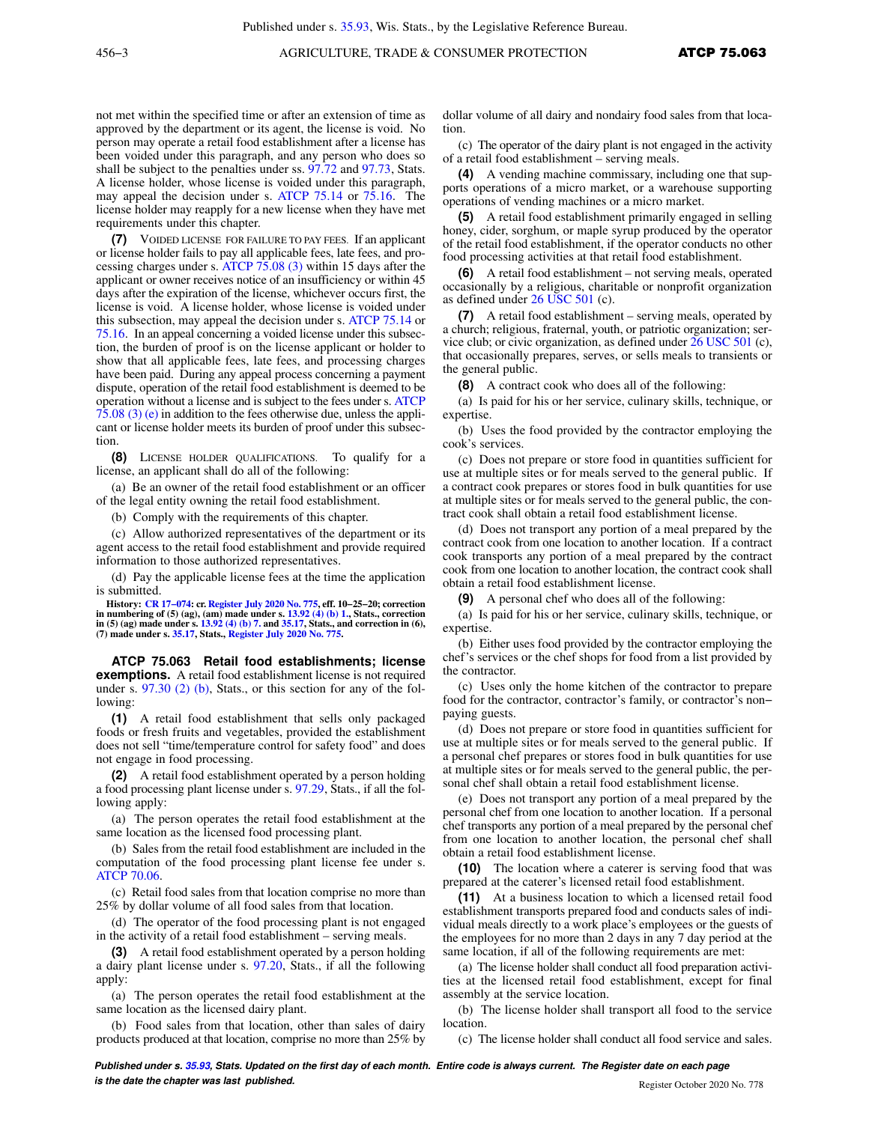not met within the specified time or after an extension of time as approved by the department or its agent, the license is void. No person may operate a retail food establishment after a license has been voided under this paragraph, and any person who does so shall be subject to the penalties under ss. [97.72](https://docs.legis.wisconsin.gov/document/statutes/97.72) and [97.73,](https://docs.legis.wisconsin.gov/document/statutes/97.73) Stats. A license holder, whose license is voided under this paragraph, may appeal the decision under s. [ATCP 75.14](https://docs.legis.wisconsin.gov/document/administrativecode/ATCP%2075.14) or [75.16.](https://docs.legis.wisconsin.gov/document/administrativecode/ATCP%2075.16) The license holder may reapply for a new license when they have met requirements under this chapter.

**(7)** VOIDED LICENSE FOR FAILURE TO PAY FEES. If an applicant or license holder fails to pay all applicable fees, late fees, and processing charges under s. [ATCP 75.08 \(3\)](https://docs.legis.wisconsin.gov/document/administrativecode/ATCP%2075.08(3)) within 15 days after the applicant or owner receives notice of an insufficiency or within 45 days after the expiration of the license, whichever occurs first, the license is void. A license holder, whose license is voided under this subsection, may appeal the decision under s. [ATCP 75.14](https://docs.legis.wisconsin.gov/document/administrativecode/ATCP%2075.14) or [75.16](https://docs.legis.wisconsin.gov/document/administrativecode/ATCP%2075.16). In an appeal concerning a voided license under this subsection, the burden of proof is on the license applicant or holder to show that all applicable fees, late fees, and processing charges have been paid. During any appeal process concerning a payment dispute, operation of the retail food establishment is deemed to be operation without a license and is subject to the fees under s. [ATCP](https://docs.legis.wisconsin.gov/document/administrativecode/ATCP%2075.08(3)(e)) [75.08 \(3\) \(e\)](https://docs.legis.wisconsin.gov/document/administrativecode/ATCP%2075.08(3)(e)) in addition to the fees otherwise due, unless the applicant or license holder meets its burden of proof under this subsection.

**(8)** LICENSE HOLDER QUALIFICATIONS. To qualify for a license, an applicant shall do all of the following:

(a) Be an owner of the retail food establishment or an officer of the legal entity owning the retail food establishment.

(b) Comply with the requirements of this chapter.

(c) Allow authorized representatives of the department or its agent access to the retail food establishment and provide required information to those authorized representatives.

(d) Pay the applicable license fees at the time the application is submitted.

**History: [CR 17−074:](https://docs.legis.wisconsin.gov/document/cr/2017/74) cr. [Register July 2020 No. 775](https://docs.legis.wisconsin.gov/document/register/775/B/toc), eff. 10−25−20; correction in numbering of (5) (ag), (am) made under s. [13.92 \(4\) \(b\) 1.,](https://docs.legis.wisconsin.gov/document/statutes/13.92(4)(b)1.) Stats., correction in (5) (ag) made under s. [13.92 \(4\) \(b\) 7.](https://docs.legis.wisconsin.gov/document/statutes/13.92(4)(b)7.) and [35.17](https://docs.legis.wisconsin.gov/document/statutes/35.17), Stats., and correction in (6), (7) made under s. [35.17](https://docs.legis.wisconsin.gov/document/statutes/35.17), Stats., [Register July 2020 No. 775](https://docs.legis.wisconsin.gov/document/register/775/B/toc).**

**ATCP 75.063 Retail food establishments; license exemptions.** A retail food establishment license is not required under s. [97.30 \(2\) \(b\)](https://docs.legis.wisconsin.gov/document/statutes/97.30(2)(b)), Stats., or this section for any of the following:

**(1)** A retail food establishment that sells only packaged foods or fresh fruits and vegetables, provided the establishment does not sell "time/temperature control for safety food" and does not engage in food processing.

**(2)** A retail food establishment operated by a person holding a food processing plant license under s. [97.29,](https://docs.legis.wisconsin.gov/document/statutes/97.29) Stats., if all the following apply:

(a) The person operates the retail food establishment at the same location as the licensed food processing plant.

(b) Sales from the retail food establishment are included in the computation of the food processing plant license fee under s. [ATCP 70.06](https://docs.legis.wisconsin.gov/document/administrativecode/ATCP%2070.06).

(c) Retail food sales from that location comprise no more than 25% by dollar volume of all food sales from that location.

(d) The operator of the food processing plant is not engaged in the activity of a retail food establishment – serving meals.

**(3)** A retail food establishment operated by a person holding a dairy plant license under s. [97.20](https://docs.legis.wisconsin.gov/document/statutes/97.20), Stats., if all the following apply:

(a) The person operates the retail food establishment at the same location as the licensed dairy plant.

(b) Food sales from that location, other than sales of dairy products produced at that location, comprise no more than 25% by dollar volume of all dairy and nondairy food sales from that location.

(c) The operator of the dairy plant is not engaged in the activity of a retail food establishment – serving meals.

**(4)** A vending machine commissary, including one that supports operations of a micro market, or a warehouse supporting operations of vending machines or a micro market.

**(5)** A retail food establishment primarily engaged in selling honey, cider, sorghum, or maple syrup produced by the operator of the retail food establishment, if the operator conducts no other food processing activities at that retail food establishment.

**(6)** A retail food establishment – not serving meals, operated occasionally by a religious, charitable or nonprofit organization as defined under [26 USC 501](https://docs.legis.wisconsin.gov/document/usc/26%20USC%20501) (c).

**(7)** A retail food establishment – serving meals, operated by a church; religious, fraternal, youth, or patriotic organization; service club; or civic organization, as defined under [26 USC 501](https://docs.legis.wisconsin.gov/document/usc/26%20USC%20501) (c), that occasionally prepares, serves, or sells meals to transients or the general public.

**(8)** A contract cook who does all of the following:

(a) Is paid for his or her service, culinary skills, technique, or expertise.

(b) Uses the food provided by the contractor employing the cook's services.

(c) Does not prepare or store food in quantities sufficient for use at multiple sites or for meals served to the general public. If a contract cook prepares or stores food in bulk quantities for use at multiple sites or for meals served to the general public, the contract cook shall obtain a retail food establishment license.

(d) Does not transport any portion of a meal prepared by the contract cook from one location to another location. If a contract cook transports any portion of a meal prepared by the contract cook from one location to another location, the contract cook shall obtain a retail food establishment license.

**(9)** A personal chef who does all of the following:

(a) Is paid for his or her service, culinary skills, technique, or expertise.

(b) Either uses food provided by the contractor employing the chef's services or the chef shops for food from a list provided by the contractor.

(c) Uses only the home kitchen of the contractor to prepare food for the contractor, contractor's family, or contractor's non− paying guests.

(d) Does not prepare or store food in quantities sufficient for use at multiple sites or for meals served to the general public. If a personal chef prepares or stores food in bulk quantities for use at multiple sites or for meals served to the general public, the personal chef shall obtain a retail food establishment license.

(e) Does not transport any portion of a meal prepared by the personal chef from one location to another location. If a personal chef transports any portion of a meal prepared by the personal chef from one location to another location, the personal chef shall obtain a retail food establishment license.

**(10)** The location where a caterer is serving food that was prepared at the caterer's licensed retail food establishment.

**(11)** At a business location to which a licensed retail food establishment transports prepared food and conducts sales of individual meals directly to a work place's employees or the guests of the employees for no more than 2 days in any 7 day period at the same location, if all of the following requirements are met:

(a) The license holder shall conduct all food preparation activities at the licensed retail food establishment, except for final assembly at the service location.

(b) The license holder shall transport all food to the service location.

(c) The license holder shall conduct all food service and sales.

**Published under s. [35.93,](https://docs.legis.wisconsin.gov/document/statutes/35.93) Stats. Updated on the first day of each month. Entire code is always current. The Register date on each page is the date the chapter was last published. is the date the chapter was last published.** Register October 2020 No. 778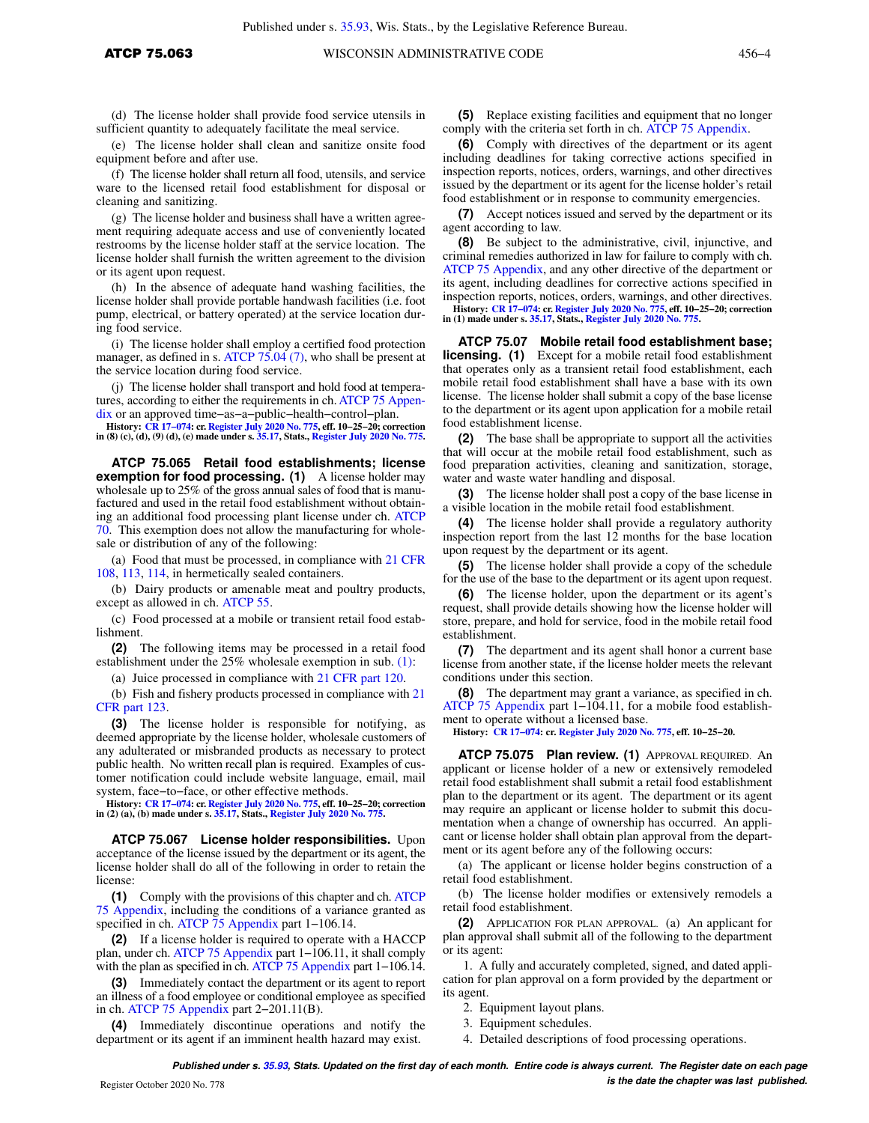(d) The license holder shall provide food service utensils in sufficient quantity to adequately facilitate the meal service.

(e) The license holder shall clean and sanitize onsite food equipment before and after use.

(f) The license holder shall return all food, utensils, and service ware to the licensed retail food establishment for disposal or cleaning and sanitizing.

(g) The license holder and business shall have a written agreement requiring adequate access and use of conveniently located restrooms by the license holder staff at the service location. The license holder shall furnish the written agreement to the division or its agent upon request.

(h) In the absence of adequate hand washing facilities, the license holder shall provide portable handwash facilities (i.e. foot pump, electrical, or battery operated) at the service location during food service.

(i) The license holder shall employ a certified food protection manager, as defined in s. [ATCP 75.04 \(7\)](https://docs.legis.wisconsin.gov/document/administrativecode/ATCP%2075.04(7)), who shall be present at the service location during food service.

(j) The license holder shall transport and hold food at temperatures, according to either the requirements in ch. [ATCP 75 Appen](https://docs.legis.wisconsin.gov/document/administrativecode/ch.%20ATCP%2075%20Appendix)[dix](https://docs.legis.wisconsin.gov/document/administrativecode/ch.%20ATCP%2075%20Appendix) or an approved time−as−a−public−health−control−plan.

History: CR 17-074: cr. [Register July 2020 No. 775](https://docs.legis.wisconsin.gov/document/register/775/B/toc), eff. 10-25-20; correction<br>in (8) (c), (d), (9) (d), (e) made under s. [35.17,](https://docs.legis.wisconsin.gov/document/statutes/35.17) Stats., Register July 2020 No. 775.

**ATCP 75.065 Retail food establishments; license exemption for food processing. (1)** A license holder may wholesale up to 25% of the gross annual sales of food that is manufactured and used in the retail food establishment without obtaining an additional food processing plant license under ch. [ATCP](https://docs.legis.wisconsin.gov/document/administrativecode/ch.%20ATCP%2070) [70.](https://docs.legis.wisconsin.gov/document/administrativecode/ch.%20ATCP%2070) This exemption does not allow the manufacturing for wholesale or distribution of any of the following:

(a) Food that must be processed, in compliance with [21 CFR](https://docs.legis.wisconsin.gov/document/cfr/21%20CFR%20108) [108](https://docs.legis.wisconsin.gov/document/cfr/21%20CFR%20108), [113](https://docs.legis.wisconsin.gov/document/cfr/21%20CFR%20113), [114,](https://docs.legis.wisconsin.gov/document/cfr/21%20CFR%20114) in hermetically sealed containers.

(b) Dairy products or amenable meat and poultry products, except as allowed in ch. [ATCP 55](https://docs.legis.wisconsin.gov/document/administrativecode/ch.%20ATCP%2055).

(c) Food processed at a mobile or transient retail food establishment.

**(2)** The following items may be processed in a retail food establishment under the 25% wholesale exemption in sub. [\(1\):](https://docs.legis.wisconsin.gov/document/administrativecode/ATCP%2075.065(1))

(a) Juice processed in compliance with [21 CFR part 120](https://docs.legis.wisconsin.gov/document/cfr/21%20CFR%20120).

(b) Fish and fishery products processed in compliance with [21](https://docs.legis.wisconsin.gov/document/cfr/21%20CFR%20123) [CFR part 123.](https://docs.legis.wisconsin.gov/document/cfr/21%20CFR%20123)

**(3)** The license holder is responsible for notifying, as deemed appropriate by the license holder, wholesale customers of any adulterated or misbranded products as necessary to protect public health. No written recall plan is required. Examples of customer notification could include website language, email, mail system, face−to−face, or other effective methods.

**History: [CR 17−074:](https://docs.legis.wisconsin.gov/document/cr/2017/74) cr. [Register July 2020 No. 775](https://docs.legis.wisconsin.gov/document/register/775/B/toc), eff. 10−25−20; correction in (2) (a), (b) made under s. [35.17,](https://docs.legis.wisconsin.gov/document/statutes/35.17) Stats., [Register July 2020 No. 775.](https://docs.legis.wisconsin.gov/document/register/775/B/toc)**

**ATCP 75.067 License holder responsibilities.** Upon acceptance of the license issued by the department or its agent, the license holder shall do all of the following in order to retain the license:

**(1)** Comply with the provisions of this chapter and ch. [ATCP](https://docs.legis.wisconsin.gov/document/administrativecode/ch.%20ATCP%2075%20Appendix) [75 Appendix](https://docs.legis.wisconsin.gov/document/administrativecode/ch.%20ATCP%2075%20Appendix), including the conditions of a variance granted as specified in ch. [ATCP 75 Appendix](https://docs.legis.wisconsin.gov/document/administrativecode/ch.%20ATCP%2075%20Appendix) part 1−106.14.

**(2)** If a license holder is required to operate with a HACCP plan, under ch. [ATCP 75 Appendix](https://docs.legis.wisconsin.gov/document/administrativecode/ch.%20ATCP%2075%20Appendix) part 1−106.11, it shall comply with the plan as specified in ch. [ATCP 75 Appendix](https://docs.legis.wisconsin.gov/document/administrativecode/ch.%20ATCP%2075%20Appendix) part 1−106.14.

**(3)** Immediately contact the department or its agent to report an illness of a food employee or conditional employee as specified in ch. [ATCP 75 Appendix](https://docs.legis.wisconsin.gov/document/administrativecode/ch.%20ATCP%2075%20Appendix) part 2−201.11(B).

**(4)** Immediately discontinue operations and notify the department or its agent if an imminent health hazard may exist.

**(5)** Replace existing facilities and equipment that no longer comply with the criteria set forth in ch. [ATCP 75 Appendix.](https://docs.legis.wisconsin.gov/document/administrativecode/ch.%20ATCP%2075%20Appendix)

**(6)** Comply with directives of the department or its agent including deadlines for taking corrective actions specified in inspection reports, notices, orders, warnings, and other directives issued by the department or its agent for the license holder's retail food establishment or in response to community emergencies.

**(7)** Accept notices issued and served by the department or its agent according to law.

**(8)** Be subject to the administrative, civil, injunctive, and criminal remedies authorized in law for failure to comply with ch. [ATCP 75 Appendix,](https://docs.legis.wisconsin.gov/document/administrativecode/ch.%20ATCP%2075%20Appendix) and any other directive of the department or its agent, including deadlines for corrective actions specified in inspection reports, notices, orders, warnings, and other directives. **History: [CR 17−074:](https://docs.legis.wisconsin.gov/document/cr/2017/74) cr. [Register July 2020 No. 775](https://docs.legis.wisconsin.gov/document/register/775/B/toc), eff. 10−25−20; correction in (1) made under s. [35.17](https://docs.legis.wisconsin.gov/document/statutes/35.17), Stats., [Register July 2020 No. 775](https://docs.legis.wisconsin.gov/document/register/775/B/toc).**

**ATCP 75.07 Mobile retail food establishment base; licensing.** (1) Except for a mobile retail food establishment that operates only as a transient retail food establishment, each mobile retail food establishment shall have a base with its own license. The license holder shall submit a copy of the base license to the department or its agent upon application for a mobile retail food establishment license.

**(2)** The base shall be appropriate to support all the activities that will occur at the mobile retail food establishment, such as food preparation activities, cleaning and sanitization, storage, water and waste water handling and disposal.

**(3)** The license holder shall post a copy of the base license in a visible location in the mobile retail food establishment.

**(4)** The license holder shall provide a regulatory authority inspection report from the last 12 months for the base location upon request by the department or its agent.

**(5)** The license holder shall provide a copy of the schedule for the use of the base to the department or its agent upon request.

**(6)** The license holder, upon the department or its agent's request, shall provide details showing how the license holder will store, prepare, and hold for service, food in the mobile retail food establishment.

**(7)** The department and its agent shall honor a current base license from another state, if the license holder meets the relevant conditions under this section.

**(8)** The department may grant a variance, as specified in ch. [ATCP 75 Appendix](https://docs.legis.wisconsin.gov/document/administrativecode/ch.%20ATCP%2075%20Appendix) part 1−104.11, for a mobile food establishment to operate without a licensed base.

**History: [CR 17−074:](https://docs.legis.wisconsin.gov/document/cr/2017/74) cr. [Register July 2020 No. 775](https://docs.legis.wisconsin.gov/document/register/775/B/toc), eff. 10−25−20.**

**ATCP 75.075 Plan review. (1)** APPROVAL REQUIRED. An applicant or license holder of a new or extensively remodeled retail food establishment shall submit a retail food establishment plan to the department or its agent. The department or its agent may require an applicant or license holder to submit this documentation when a change of ownership has occurred. An applicant or license holder shall obtain plan approval from the department or its agent before any of the following occurs:

(a) The applicant or license holder begins construction of a retail food establishment.

(b) The license holder modifies or extensively remodels a retail food establishment.

**(2)** APPLICATION FOR PLAN APPROVAL. (a) An applicant for plan approval shall submit all of the following to the department or its agent:

1. A fully and accurately completed, signed, and dated application for plan approval on a form provided by the department or its agent.

2. Equipment layout plans.

3. Equipment schedules.

4. Detailed descriptions of food processing operations.

**Published under s. [35.93,](https://docs.legis.wisconsin.gov/document/statutes/35.93) Stats. Updated on the first day of each month. Entire code is always current. The Register date on each page is the date the chapter was last published.** Register October 2020 No. 778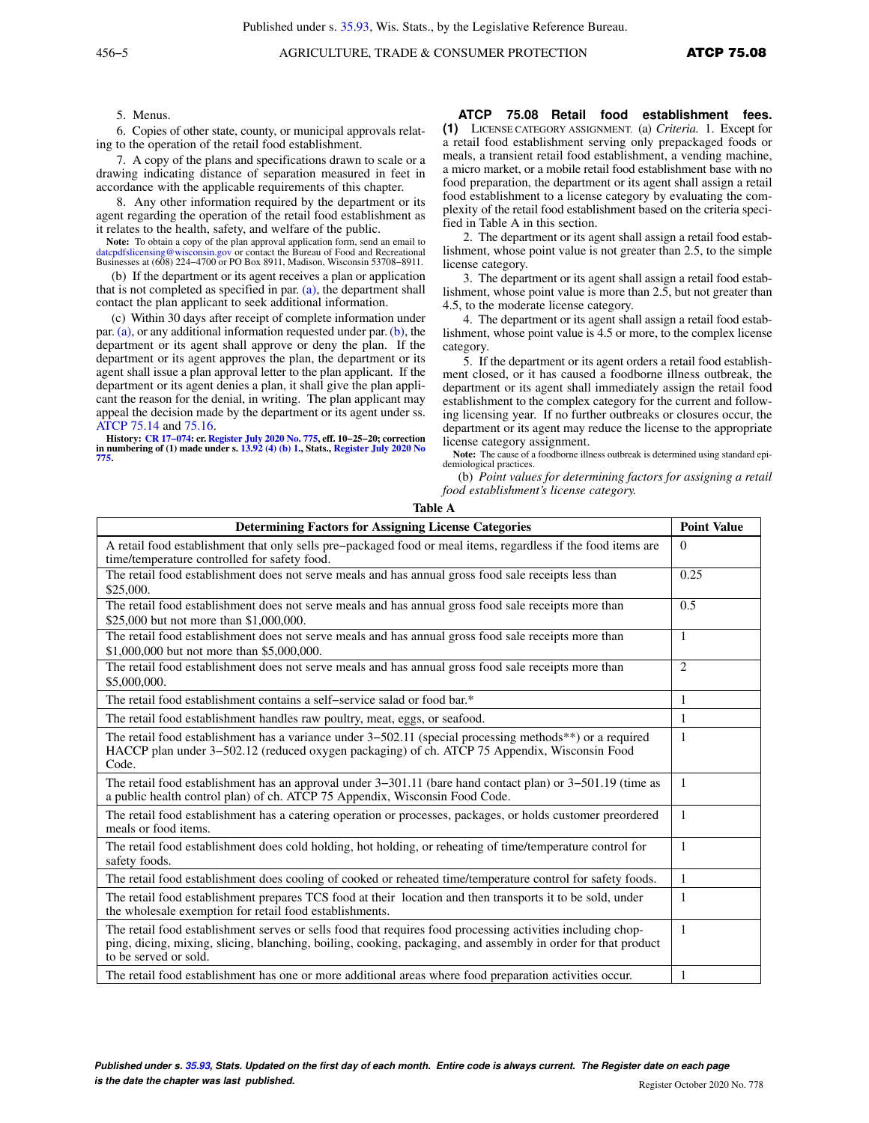5. Menus.

6. Copies of other state, county, or municipal approvals relating to the operation of the retail food establishment.

7. A copy of the plans and specifications drawn to scale or a drawing indicating distance of separation measured in feet in accordance with the applicable requirements of this chapter.

8. Any other information required by the department or its agent regarding the operation of the retail food establishment as it relates to the health, safety, and welfare of the public.

Note: To obtain a copy of the plan approval application form, send an email to [datcpdfslicensing@wisconsin.gov](mailto:datcpdfslicensing@wisconsin.gov) or contact the Bureau of Food and Recreational Businesses at (608) 224−4700 or PO Box 8911, Madison, Wisconsin 53708−8911.

(b) If the department or its agent receives a plan or application that is not completed as specified in par.  $(a)$ , the department shall contact the plan applicant to seek additional information.

(c) Within 30 days after receipt of complete information under par.[\(a\),](https://docs.legis.wisconsin.gov/document/administrativecode/ATCP%2075.075(2)(a)) or any additional information requested under par. [\(b\)](https://docs.legis.wisconsin.gov/document/administrativecode/ATCP%2075.075(2)(b)), the department or its agent shall approve or deny the plan. If the department or its agent approves the plan, the department or its agent shall issue a plan approval letter to the plan applicant. If the department or its agent denies a plan, it shall give the plan applicant the reason for the denial, in writing. The plan applicant may appeal the decision made by the department or its agent under ss. [ATCP 75.14](https://docs.legis.wisconsin.gov/document/administrativecode/ATCP%2075.14) and [75.16](https://docs.legis.wisconsin.gov/document/administrativecode/ATCP%2075.16).

**History: [CR 17−074:](https://docs.legis.wisconsin.gov/document/cr/2017/74) cr. [Register July 2020 No. 775](https://docs.legis.wisconsin.gov/document/register/775/B/toc), eff. 10−25−20; correction in numbering of (1) made under s. [13.92 \(4\) \(b\) 1.](https://docs.legis.wisconsin.gov/document/statutes/13.92(4)(b)1.), Stats., [Register July 2020 No](https://docs.legis.wisconsin.gov/document/register/775/B/toc) [775](https://docs.legis.wisconsin.gov/document/register/775/B/toc).**

**ATCP 75.08 Retail food establishment fees. (1)** LICENSE CATEGORY ASSIGNMENT. (a) *Criteria.* 1. Except for a retail food establishment serving only prepackaged foods or meals, a transient retail food establishment, a vending machine, a micro market, or a mobile retail food establishment base with no food preparation, the department or its agent shall assign a retail food establishment to a license category by evaluating the complexity of the retail food establishment based on the criteria specified in Table A in this section.

2. The department or its agent shall assign a retail food establishment, whose point value is not greater than 2.5, to the simple license category.

3. The department or its agent shall assign a retail food establishment, whose point value is more than 2.5, but not greater than 4.5, to the moderate license category.

4. The department or its agent shall assign a retail food establishment, whose point value is 4.5 or more, to the complex license category.

5. If the department or its agent orders a retail food establishment closed, or it has caused a foodborne illness outbreak, the department or its agent shall immediately assign the retail food establishment to the complex category for the current and following licensing year. If no further outbreaks or closures occur, the department or its agent may reduce the license to the appropriate license category assignment.

**Note:** The cause of a foodborne illness outbreak is determined using standard epidemiological practices.

(b) *Point values for determining factors for assigning a retail food establishment's license category.*

| Table A |  |
|---------|--|
|---------|--|

| <b>Determining Factors for Assigning License Categories</b>                                                                                                                                                                                           | <b>Point Value</b> |
|-------------------------------------------------------------------------------------------------------------------------------------------------------------------------------------------------------------------------------------------------------|--------------------|
| A retail food establishment that only sells pre-packaged food or meal items, regardless if the food items are<br>time/temperature controlled for safety food.                                                                                         | $\Omega$           |
| The retail food establishment does not serve meals and has annual gross food sale receipts less than<br>\$25,000.                                                                                                                                     | 0.25               |
| The retail food establishment does not serve meals and has annual gross food sale receipts more than<br>\$25,000 but not more than \$1,000,000.                                                                                                       | 0.5                |
| The retail food establishment does not serve meals and has annual gross food sale receipts more than<br>\$1,000,000 but not more than \$5,000,000.                                                                                                    | $\mathbf{1}$       |
| The retail food establishment does not serve meals and has annual gross food sale receipts more than<br>\$5,000,000.                                                                                                                                  | 2                  |
| The retail food establishment contains a self-service salad or food bar.*                                                                                                                                                                             | $\mathbf{1}$       |
| The retail food establishment handles raw poultry, meat, eggs, or seafood.                                                                                                                                                                            | $\mathbf{1}$       |
| The retail food establishment has a variance under $3-502.11$ (special processing methods**) or a required<br>HACCP plan under 3–502.12 (reduced oxygen packaging) of ch. ATCP 75 Appendix, Wisconsin Food<br>Code.                                   | $\mathbf{1}$       |
| The retail food establishment has an approval under $3-301.11$ (bare hand contact plan) or $3-501.19$ (time as<br>a public health control plan) of ch. ATCP 75 Appendix, Wisconsin Food Code.                                                         | $\mathbf{1}$       |
| The retail food establishment has a catering operation or processes, packages, or holds customer preordered<br>meals or food items.                                                                                                                   | $\mathbf{1}$       |
| The retail food establishment does cold holding, hot holding, or reheating of time/temperature control for<br>safety foods.                                                                                                                           | $\mathbf{1}$       |
| The retail food establishment does cooling of cooked or reheated time/temperature control for safety foods.                                                                                                                                           | $\mathbf{1}$       |
| The retail food establishment prepares TCS food at their location and then transports it to be sold, under<br>the wholesale exemption for retail food establishments.                                                                                 | $\mathbf{1}$       |
| The retail food establishment serves or sells food that requires food processing activities including chop-<br>ping, dicing, mixing, slicing, blanching, boiling, cooking, packaging, and assembly in order for that product<br>to be served or sold. | $\mathbf{1}$       |
| The retail food establishment has one or more additional areas where food preparation activities occur.                                                                                                                                               | $\mathbf{1}$       |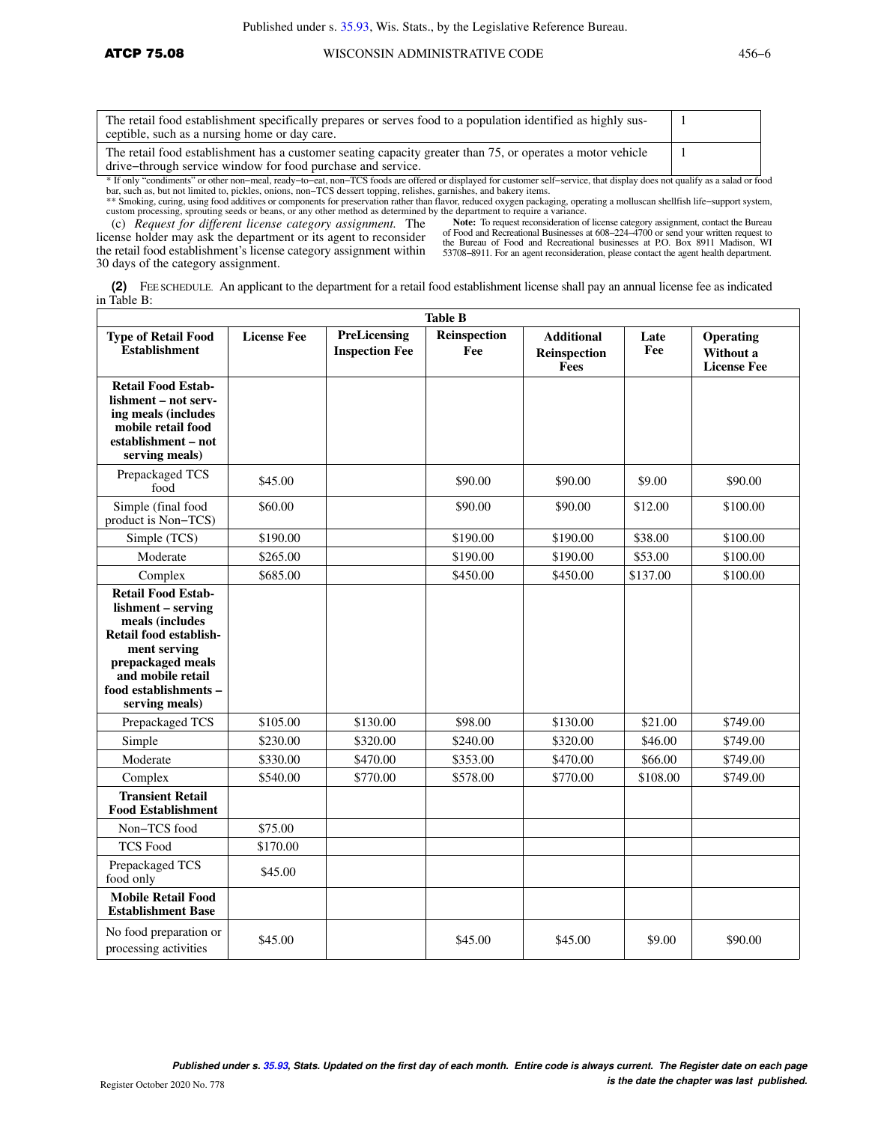| The retail food establishment specifically prepares or serves food to a population identified as highly sus-<br>ceptible, such as a nursing home or day care.             |  |
|---------------------------------------------------------------------------------------------------------------------------------------------------------------------------|--|
| The retail food establishment has a customer seating capacity greater than 75, or operates a motor vehicle<br>drive-through service window for food purchase and service. |  |

\* If only "condiments" or other non–meal, ready–to–eat, non–TCS foods are offered or displayed for customer self–service, that display does not qualify as a salad or food<br>bar, such as, but not limited to, pickles, onions,

\*\* Smoking, curing, using food additives or components for preservation rather than flavor, reduced oxygen packaging, operating a molluscan shellfish life−support system, custom processing, sprouting seeds or beans, or any other method as determined by the department to require a variance.

(c) *Request for different license category assignment.* The license holder may ask the department or its agent to reconsider the retail food establishment's license category assignment within 30 days of the category assignment.

Note: To request reconsideration of license category assignment, contact the Bureau of Food and Recreational Businesses at 608–224–4700 or send your written request to the Bureau of Food and Recreational businesses at P.O. 53708−8911. For an agent reconsideration, please contact the agent health department.

**(2)** FEE SCHEDULE. An applicant to the department for a retail food establishment license shall pay an annual license fee as indicated in Table B:

| <b>Table B</b>                                                                                                                                                                                    |                    |                                       |                     |                                           |             |                                              |
|---------------------------------------------------------------------------------------------------------------------------------------------------------------------------------------------------|--------------------|---------------------------------------|---------------------|-------------------------------------------|-------------|----------------------------------------------|
| <b>Type of Retail Food</b><br><b>Establishment</b>                                                                                                                                                | <b>License Fee</b> | PreLicensing<br><b>Inspection Fee</b> | Reinspection<br>Fee | <b>Additional</b><br>Reinspection<br>Fees | Late<br>Fee | Operating<br>Without a<br><b>License Fee</b> |
| <b>Retail Food Estab-</b><br>lishment - not serv-<br>ing meals (includes<br>mobile retail food<br>establishment - not<br>serving meals)                                                           |                    |                                       |                     |                                           |             |                                              |
| Prepackaged TCS<br>food                                                                                                                                                                           | \$45.00            |                                       | \$90.00             | \$90.00                                   | \$9.00      | \$90.00                                      |
| Simple (final food<br>product is Non-TCS)                                                                                                                                                         | \$60.00            |                                       | \$90.00             | \$90.00                                   | \$12.00     | \$100.00                                     |
| Simple (TCS)                                                                                                                                                                                      | \$190.00           |                                       | \$190.00            | \$190.00                                  | \$38.00     | \$100.00                                     |
| Moderate                                                                                                                                                                                          | \$265.00           |                                       | \$190.00            | \$190.00                                  | \$53.00     | \$100.00                                     |
| Complex                                                                                                                                                                                           | \$685.00           |                                       | \$450.00            | \$450.00                                  | \$137.00    | \$100.00                                     |
| <b>Retail Food Estab-</b><br>lishment – serving<br>meals (includes<br>Retail food establish-<br>ment serving<br>prepackaged meals<br>and mobile retail<br>food establishments -<br>serving meals) |                    |                                       |                     |                                           |             |                                              |
| Prepackaged TCS                                                                                                                                                                                   | \$105.00           | \$130.00                              | \$98.00             | \$130.00                                  | \$21.00     | \$749.00                                     |
| Simple                                                                                                                                                                                            | \$230.00           | \$320.00                              | \$240.00            | \$320.00                                  | \$46.00     | \$749.00                                     |
| Moderate                                                                                                                                                                                          | \$330.00           | \$470.00                              | \$353.00            | \$470.00                                  | \$66.00     | \$749.00                                     |
| Complex                                                                                                                                                                                           | \$540.00           | \$770.00                              | \$578.00            | \$770.00                                  | \$108.00    | \$749.00                                     |
| <b>Transient Retail</b><br><b>Food Establishment</b>                                                                                                                                              |                    |                                       |                     |                                           |             |                                              |
| Non-TCS food                                                                                                                                                                                      | \$75.00            |                                       |                     |                                           |             |                                              |
| <b>TCS Food</b>                                                                                                                                                                                   | \$170.00           |                                       |                     |                                           |             |                                              |
| Prepackaged TCS<br>food only                                                                                                                                                                      | \$45.00            |                                       |                     |                                           |             |                                              |
| <b>Mobile Retail Food</b><br><b>Establishment Base</b>                                                                                                                                            |                    |                                       |                     |                                           |             |                                              |
| No food preparation or<br>processing activities                                                                                                                                                   | \$45.00            |                                       | \$45.00             | \$45.00                                   | \$9.00      | \$90.00                                      |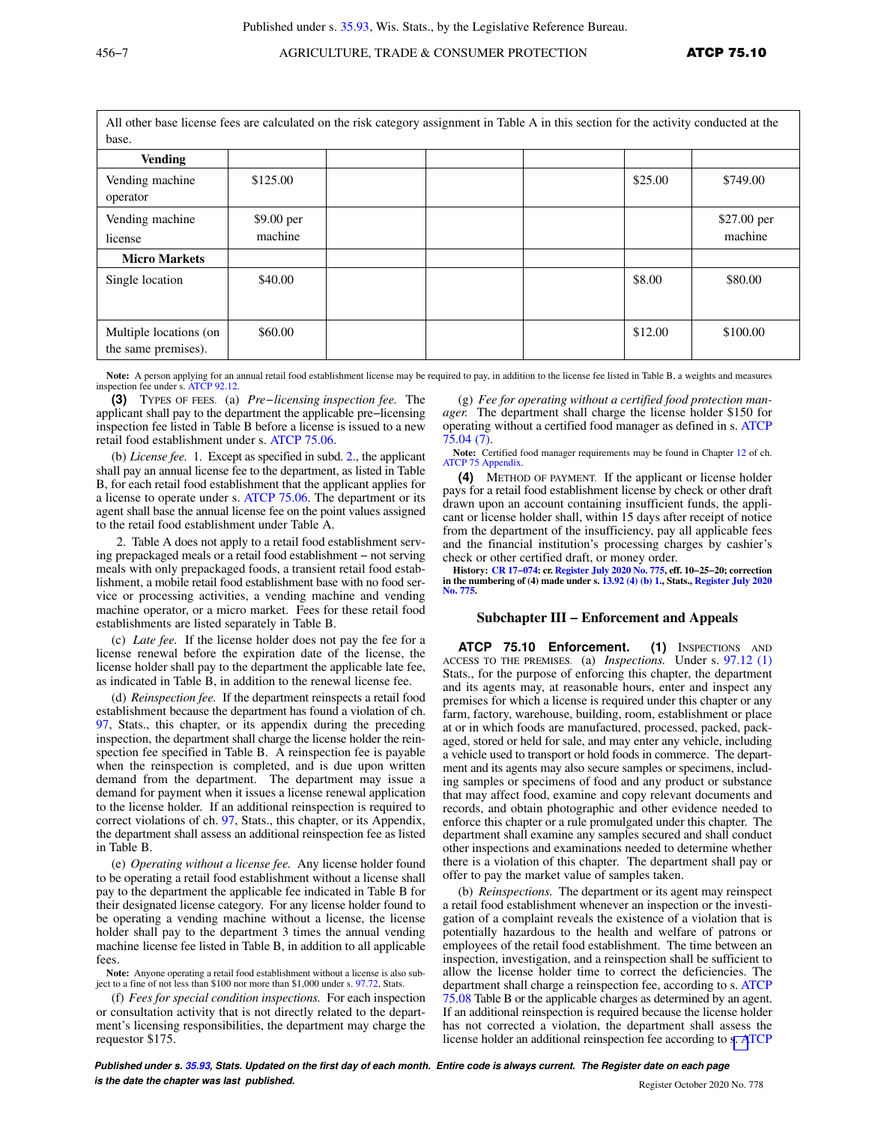# 456−7 AGRICULTURE, TRADE & CONSUMER PROTECTION **ATCP 75.10**

All other base license fees are calculated on the risk category assignment in Table A in this section for the activity conducted at the base.

| vast.                                         |                       |  |  |  |         |                        |
|-----------------------------------------------|-----------------------|--|--|--|---------|------------------------|
| <b>Vending</b>                                |                       |  |  |  |         |                        |
| Vending machine<br>operator                   | \$125.00              |  |  |  | \$25.00 | \$749.00               |
| Vending machine<br>license                    | \$9.00 per<br>machine |  |  |  |         | \$27.00 per<br>machine |
| <b>Micro Markets</b>                          |                       |  |  |  |         |                        |
| Single location                               | \$40.00               |  |  |  | \$8.00  | \$80.00                |
| Multiple locations (on<br>the same premises). | \$60.00               |  |  |  | \$12.00 | \$100.00               |

Note: A person applying for an annual retail food establishment license may be required to pay, in addition to the license fee listed in Table B, a weights and measures inspection fee under s. [ATCP 92.12](https://docs.legis.wisconsin.gov/document/administrativecode/ATCP%2092.12).

**(3)** TYPES OF FEES. (a) *Pre−licensing inspection fee.* The applicant shall pay to the department the applicable pre−licensing inspection fee listed in Table B before a license is issued to a new retail food establishment under s. [ATCP 75.06](https://docs.legis.wisconsin.gov/document/administrativecode/ATCP%2075.06).

(b) *License fee.* 1. Except as specified in subd. [2.,](https://docs.legis.wisconsin.gov/document/administrativecode/ATCP%2075.08(3)(b)2.) the applicant shall pay an annual license fee to the department, as listed in Table B, for each retail food establishment that the applicant applies for a license to operate under s. [ATCP 75.06.](https://docs.legis.wisconsin.gov/document/administrativecode/ATCP%2075.06) The department or its agent shall base the annual license fee on the point values assigned to the retail food establishment under Table A.

2. Table A does not apply to a retail food establishment serving prepackaged meals or a retail food establishment − not serving meals with only prepackaged foods, a transient retail food establishment, a mobile retail food establishment base with no food service or processing activities, a vending machine and vending machine operator, or a micro market. Fees for these retail food establishments are listed separately in Table B.

(c) *Late fee.* If the license holder does not pay the fee for a license renewal before the expiration date of the license, the license holder shall pay to the department the applicable late fee, as indicated in Table B, in addition to the renewal license fee.

(d) *Reinspection fee.* If the department reinspects a retail food establishment because the department has found a violation of ch. [97,](https://docs.legis.wisconsin.gov/document/statutes/ch.%2097) Stats., this chapter, or its appendix during the preceding inspection, the department shall charge the license holder the reinspection fee specified in Table B. A reinspection fee is payable when the reinspection is completed, and is due upon written demand from the department. The department may issue a demand for payment when it issues a license renewal application to the license holder. If an additional reinspection is required to correct violations of ch. [97](https://docs.legis.wisconsin.gov/document/statutes/ch.%2097), Stats., this chapter, or its Appendix, the department shall assess an additional reinspection fee as listed in Table B.

(e) *Operating without a license fee.* Any license holder found to be operating a retail food establishment without a license shall pay to the department the applicable fee indicated in Table B for their designated license category. For any license holder found to be operating a vending machine without a license, the license holder shall pay to the department 3 times the annual vending machine license fee listed in Table B, in addition to all applicable fees.

**Note:** Anyone operating a retail food establishment without a license is also subject to a fine of not less than \$100 nor more than \$1,000 under s. [97.72,](https://docs.legis.wisconsin.gov/document/statutes/97.72) Stats.

(f) *Fees for special condition inspections.* For each inspection or consultation activity that is not directly related to the department's licensing responsibilities, the department may charge the requestor \$175.

(g) *Fee for operating without a certified food protection manager.* The department shall charge the license holder \$150 for operating without a certified food manager as defined in s. [ATCP](https://docs.legis.wisconsin.gov/document/administrativecode/ATCP%2075.04(7)) [75.04 \(7\)](https://docs.legis.wisconsin.gov/document/administrativecode/ATCP%2075.04(7)).

**Note:** Certified food manager requirements may be found in Chapter [12](https://docs.legis.wisconsin.gov/document/administrativecode/ch.%20ATCP%2012%20Appendix) of ch. [ATCP 75 Appendix](https://docs.legis.wisconsin.gov/document/administrativecode/ch.%20ATCP%2075%20Appendix).

**(4)** METHOD OF PAYMENT. If the applicant or license holder pays for a retail food establishment license by check or other draft drawn upon an account containing insufficient funds, the applicant or license holder shall, within 15 days after receipt of notice from the department of the insufficiency, pay all applicable fees and the financial institution's processing charges by cashier's check or other certified draft, or money order.

**History: [CR 17−074:](https://docs.legis.wisconsin.gov/document/cr/2017/74) cr. [Register July 2020 No. 775](https://docs.legis.wisconsin.gov/document/register/775/B/toc), eff. 10−25−20; correction in the numbering of (4) made under s. [13.92 \(4\) \(b\) 1.,](https://docs.legis.wisconsin.gov/document/statutes/13.92(4)(b)1.) Stats., [Register July 2020](https://docs.legis.wisconsin.gov/document/register/775/B/toc) [No. 775.](https://docs.legis.wisconsin.gov/document/register/775/B/toc)**

#### **Subchapter III − Enforcement and Appeals**

**ATCP 75.10 Enforcement. (1)** INSPECTIONS AND ACCESS TO THE PREMISES. (a) *Inspections.* Under s. [97.12 \(1\)](https://docs.legis.wisconsin.gov/document/statutes/97.12(1)) Stats., for the purpose of enforcing this chapter, the department and its agents may, at reasonable hours, enter and inspect any premises for which a license is required under this chapter or any farm, factory, warehouse, building, room, establishment or place at or in which foods are manufactured, processed, packed, packaged, stored or held for sale, and may enter any vehicle, including a vehicle used to transport or hold foods in commerce. The department and its agents may also secure samples or specimens, including samples or specimens of food and any product or substance that may affect food, examine and copy relevant documents and records, and obtain photographic and other evidence needed to enforce this chapter or a rule promulgated under this chapter. The department shall examine any samples secured and shall conduct other inspections and examinations needed to determine whether there is a violation of this chapter. The department shall pay or offer to pay the market value of samples taken.

(b) *Reinspections.* The department or its agent may reinspect a retail food establishment whenever an inspection or the investigation of a complaint reveals the existence of a violation that is potentially hazardous to the health and welfare of patrons or employees of the retail food establishment. The time between an inspection, investigation, and a reinspection shall be sufficient to allow the license holder time to correct the deficiencies. The department shall charge a reinspection fee, according to s. [ATCP](https://docs.legis.wisconsin.gov/document/administrativecode/ATCP%2075.08) [75.08](https://docs.legis.wisconsin.gov/document/administrativecode/ATCP%2075.08) Table B or the applicable charges as determined by an agent. If an additional reinspection is required because the license holder has not corrected a violation, the department shall assess the license holder an additional reinspection fee according to [s. A](https://docs.legis.wisconsin.gov/document/administrativecode/ATCP%2075.08)TCP

**Published under s. [35.93,](https://docs.legis.wisconsin.gov/document/statutes/35.93) Stats. Updated on the first day of each month. Entire code is always current. The Register date on each page is the date the chapter was last published. Compared All Security Compared All Security Compared All Security Compared All Security Compared Register October 2020 No. 778**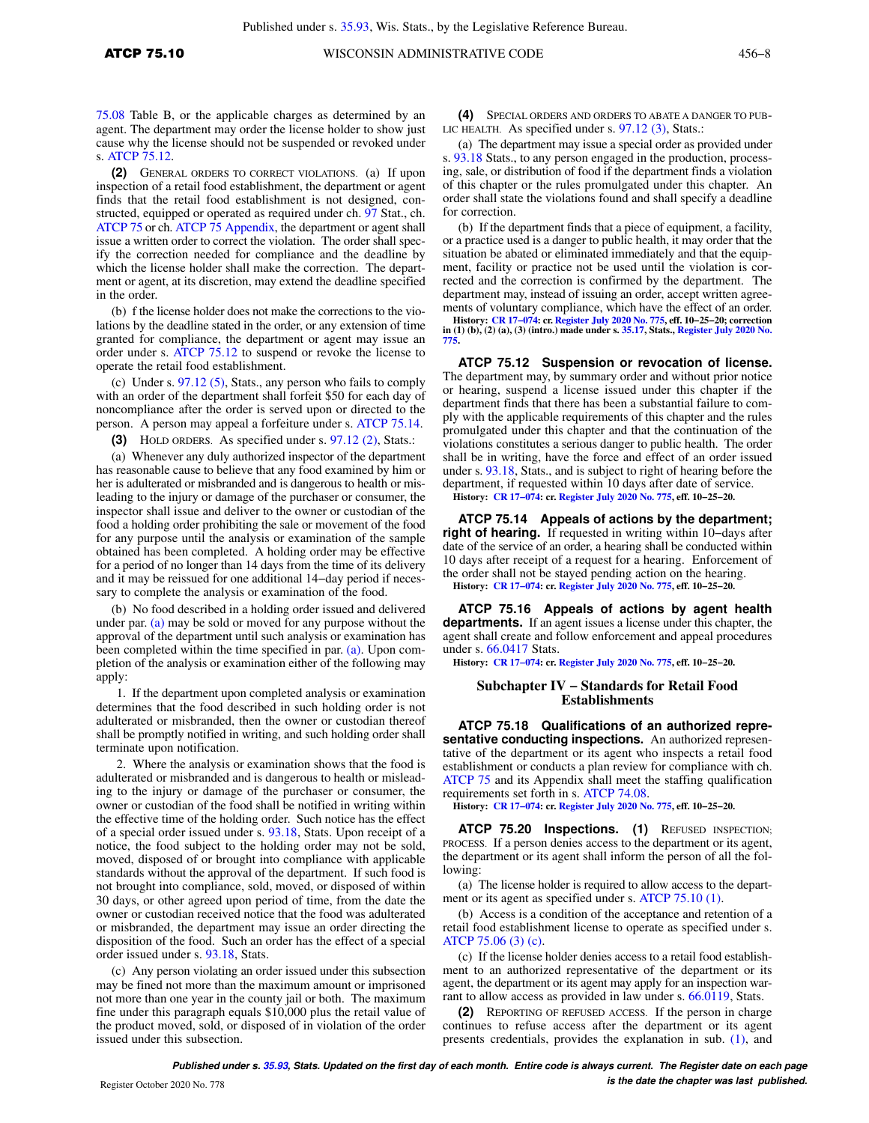[75.08](https://docs.legis.wisconsin.gov/document/administrativecode/ATCP%2075.08) Table B, or the applicable charges as determined by an agent. The department may order the license holder to show just cause why the license should not be suspended or revoked under s. [ATCP 75.12](https://docs.legis.wisconsin.gov/document/administrativecode/ATCP%2075.12).

**(2)** GENERAL ORDERS TO CORRECT VIOLATIONS. (a) If upon inspection of a retail food establishment, the department or agent finds that the retail food establishment is not designed, constructed, equipped or operated as required under ch. [97](https://docs.legis.wisconsin.gov/document/statutes/ch.%2097) Stat., ch. [ATCP 75](https://docs.legis.wisconsin.gov/document/administrativecode/ch.%20ATCP%2075) or ch. [ATCP 75 Appendix,](https://docs.legis.wisconsin.gov/document/administrativecode/ch.%20ATCP%2075%20Appendix) the department or agent shall issue a written order to correct the violation. The order shall specify the correction needed for compliance and the deadline by which the license holder shall make the correction. The department or agent, at its discretion, may extend the deadline specified in the order.

(b) f the license holder does not make the corrections to the violations by the deadline stated in the order, or any extension of time granted for compliance, the department or agent may issue an order under s. [ATCP 75.12](https://docs.legis.wisconsin.gov/document/administrativecode/ATCP%2075.12) to suspend or revoke the license to operate the retail food establishment.

(c) Under s. [97.12 \(5\)](https://docs.legis.wisconsin.gov/document/statutes/97.12(5)), Stats., any person who fails to comply with an order of the department shall forfeit \$50 for each day of noncompliance after the order is served upon or directed to the person. A person may appeal a forfeiture under s. [ATCP 75.14.](https://docs.legis.wisconsin.gov/document/administrativecode/ATCP%2075.14)

**(3)** HOLD ORDERS. As specified under s. [97.12 \(2\),](https://docs.legis.wisconsin.gov/document/statutes/97.12(2)) Stats.:

(a) Whenever any duly authorized inspector of the department has reasonable cause to believe that any food examined by him or her is adulterated or misbranded and is dangerous to health or misleading to the injury or damage of the purchaser or consumer, the inspector shall issue and deliver to the owner or custodian of the food a holding order prohibiting the sale or movement of the food for any purpose until the analysis or examination of the sample obtained has been completed. A holding order may be effective for a period of no longer than 14 days from the time of its delivery and it may be reissued for one additional 14−day period if necessary to complete the analysis or examination of the food.

(b) No food described in a holding order issued and delivered under par. [\(a\)](https://docs.legis.wisconsin.gov/document/administrativecode/ATCP%2075.10(3)(a)) may be sold or moved for any purpose without the approval of the department until such analysis or examination has been completed within the time specified in par. [\(a\)](https://docs.legis.wisconsin.gov/document/administrativecode/ATCP%2075.10(3)(a)). Upon completion of the analysis or examination either of the following may apply:

1. If the department upon completed analysis or examination determines that the food described in such holding order is not adulterated or misbranded, then the owner or custodian thereof shall be promptly notified in writing, and such holding order shall terminate upon notification.

2. Where the analysis or examination shows that the food is adulterated or misbranded and is dangerous to health or misleading to the injury or damage of the purchaser or consumer, the owner or custodian of the food shall be notified in writing within the effective time of the holding order. Such notice has the effect of a special order issued under s. [93.18,](https://docs.legis.wisconsin.gov/document/statutes/93.18) Stats. Upon receipt of a notice, the food subject to the holding order may not be sold, moved, disposed of or brought into compliance with applicable standards without the approval of the department. If such food is not brought into compliance, sold, moved, or disposed of within 30 days, or other agreed upon period of time, from the date the owner or custodian received notice that the food was adulterated or misbranded, the department may issue an order directing the disposition of the food. Such an order has the effect of a special order issued under s. [93.18](https://docs.legis.wisconsin.gov/document/statutes/93.18), Stats.

(c) Any person violating an order issued under this subsection may be fined not more than the maximum amount or imprisoned not more than one year in the county jail or both. The maximum fine under this paragraph equals \$10,000 plus the retail value of the product moved, sold, or disposed of in violation of the order issued under this subsection.

**(4)** SPECIAL ORDERS AND ORDERS TO ABATE A DANGER TO PUB-LIC HEALTH. As specified under s. [97.12 \(3\),](https://docs.legis.wisconsin.gov/document/statutes/97.12(3)) Stats.:

(a) The department may issue a special order as provided under s. [93.18](https://docs.legis.wisconsin.gov/document/statutes/93.18) Stats., to any person engaged in the production, processing, sale, or distribution of food if the department finds a violation of this chapter or the rules promulgated under this chapter. An order shall state the violations found and shall specify a deadline for correction.

(b) If the department finds that a piece of equipment, a facility, or a practice used is a danger to public health, it may order that the situation be abated or eliminated immediately and that the equipment, facility or practice not be used until the violation is corrected and the correction is confirmed by the department. The department may, instead of issuing an order, accept written agreements of voluntary compliance, which have the effect of an order.

History: CR 17–074: cr. [Register July 2020 No. 775](https://docs.legis.wisconsin.gov/document/register/775/B/toc), eff. 10–25–20; correction<br>in (1) (b), (2) (a), (3) (intro.) made under s. [35.17](https://docs.legis.wisconsin.gov/document/statutes/35.17), Stats., [Register July 2020 No.](https://docs.legis.wisconsin.gov/document/register/775/B/toc)<br>[775.](https://docs.legis.wisconsin.gov/document/register/775/B/toc)

**ATCP 75.12 Suspension or revocation of license.** The department may, by summary order and without prior notice or hearing, suspend a license issued under this chapter if the department finds that there has been a substantial failure to comply with the applicable requirements of this chapter and the rules promulgated under this chapter and that the continuation of the violations constitutes a serious danger to public health. The order shall be in writing, have the force and effect of an order issued under s. [93.18,](https://docs.legis.wisconsin.gov/document/statutes/93.18) Stats., and is subject to right of hearing before the department, if requested within 10 days after date of service. **History: [CR 17−074:](https://docs.legis.wisconsin.gov/document/cr/2017/74) cr. [Register July 2020 No. 775](https://docs.legis.wisconsin.gov/document/register/775/B/toc), eff. 10−25−20.**

**ATCP 75.14 Appeals of actions by the department; right of hearing.** If requested in writing within 10−days after date of the service of an order, a hearing shall be conducted within 10 days after receipt of a request for a hearing. Enforcement of the order shall not be stayed pending action on the hearing. **History: [CR 17−074:](https://docs.legis.wisconsin.gov/document/cr/2017/74) cr. [Register July 2020 No. 775](https://docs.legis.wisconsin.gov/document/register/775/B/toc), eff. 10−25−20.**

**ATCP 75.16 Appeals of actions by agent health departments.** If an agent issues a license under this chapter, the agent shall create and follow enforcement and appeal procedures under s. [66.0417](https://docs.legis.wisconsin.gov/document/statutes/66.0417) Stats.

**History: [CR 17−074:](https://docs.legis.wisconsin.gov/document/cr/2017/74) cr. [Register July 2020 No. 775](https://docs.legis.wisconsin.gov/document/register/775/B/toc), eff. 10−25−20.**

### **Subchapter IV − Standards for Retail Food Establishments**

**ATCP 75.18 Qualifications of an authorized representative conducting inspections.** An authorized representative of the department or its agent who inspects a retail food establishment or conducts a plan review for compliance with ch. [ATCP 75](https://docs.legis.wisconsin.gov/document/administrativecode/ch.%20ATCP%2075) and its Appendix shall meet the staffing qualification requirements set forth in s. [ATCP 74.08.](https://docs.legis.wisconsin.gov/document/administrativecode/ATCP%2074.08)

**History: [CR 17−074:](https://docs.legis.wisconsin.gov/document/cr/2017/74) cr. [Register July 2020 No. 775](https://docs.legis.wisconsin.gov/document/register/775/B/toc), eff. 10−25−20.**

**ATCP 75.20 Inspections. (1)** REFUSED INSPECTION; PROCESS. If a person denies access to the department or its agent, the department or its agent shall inform the person of all the following:

(a) The license holder is required to allow access to the department or its agent as specified under s. [ATCP 75.10 \(1\)](https://docs.legis.wisconsin.gov/document/administrativecode/ATCP%2075.10(1)).

(b) Access is a condition of the acceptance and retention of a retail food establishment license to operate as specified under s. [ATCP 75.06 \(3\) \(c\).](https://docs.legis.wisconsin.gov/document/administrativecode/ATCP%2075.06(3)(c))

(c) If the license holder denies access to a retail food establishment to an authorized representative of the department or its agent, the department or its agent may apply for an inspection warrant to allow access as provided in law under s. [66.0119](https://docs.legis.wisconsin.gov/document/statutes/66.0119), Stats.

**(2)** REPORTING OF REFUSED ACCESS. If the person in charge continues to refuse access after the department or its agent presents credentials, provides the explanation in sub. [\(1\)](https://docs.legis.wisconsin.gov/document/administrativecode/ATCP%2075.20(1)), and

**Published under s. [35.93,](https://docs.legis.wisconsin.gov/document/statutes/35.93) Stats. Updated on the first day of each month. Entire code is always current. The Register date on each page is the date the chapter was last published. is the date the chapter was last published.**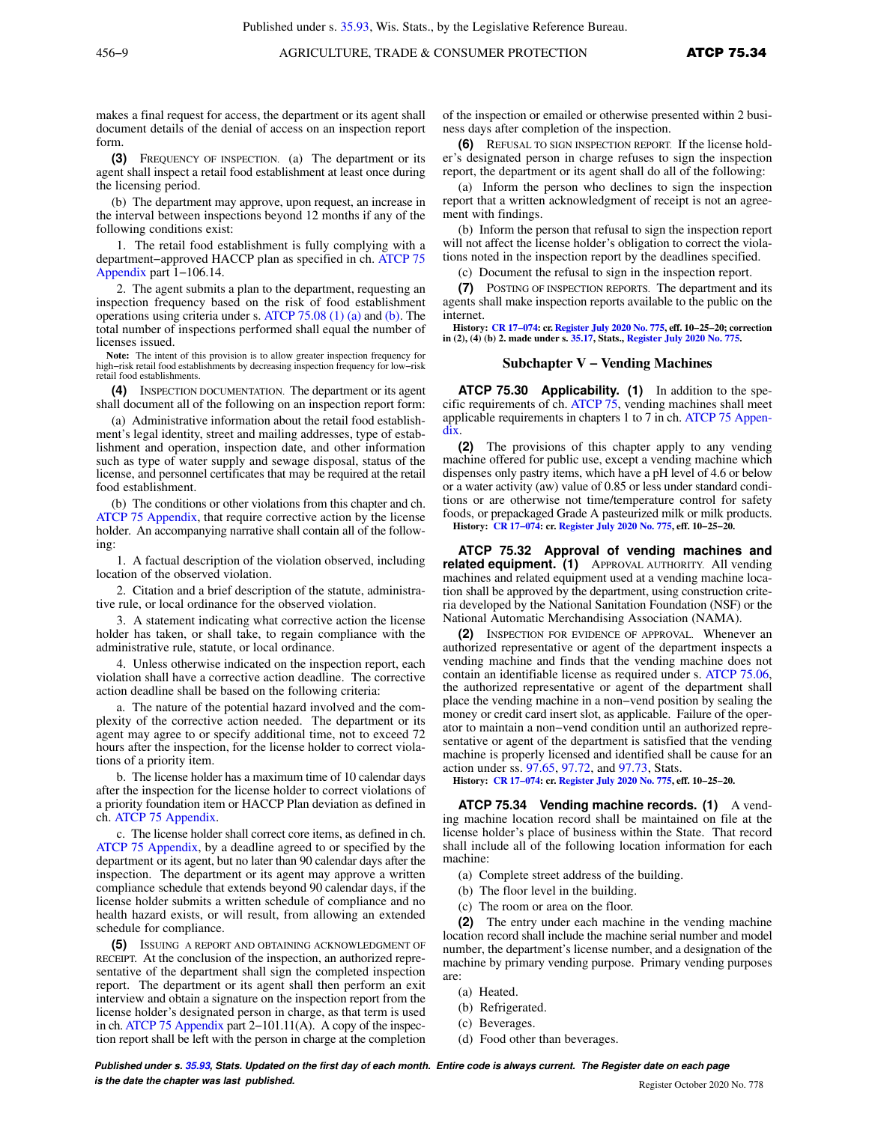makes a final request for access, the department or its agent shall document details of the denial of access on an inspection report form.

**(3)** FREQUENCY OF INSPECTION. (a) The department or its agent shall inspect a retail food establishment at least once during the licensing period.

(b) The department may approve, upon request, an increase in the interval between inspections beyond 12 months if any of the following conditions exist:

1. The retail food establishment is fully complying with a department−approved HACCP plan as specified in ch. [ATCP 75](https://docs.legis.wisconsin.gov/document/administrativecode/ch.%20ATCP%2075%20Appendix) [Appendix](https://docs.legis.wisconsin.gov/document/administrativecode/ch.%20ATCP%2075%20Appendix) part 1−106.14.

2. The agent submits a plan to the department, requesting an inspection frequency based on the risk of food establishment operations using criteria under s. [ATCP 75.08 \(1\) \(a\)](https://docs.legis.wisconsin.gov/document/administrativecode/ATCP%2075.08(1)(a)) and [\(b\).](https://docs.legis.wisconsin.gov/document/administrativecode/ATCP%2075.08(1)(b)) The total number of inspections performed shall equal the number of licenses issued.

**Note:** The intent of this provision is to allow greater inspection frequency for high−risk retail food establishments by decreasing inspection frequency for low−risk retail food establishments.

**(4)** INSPECTION DOCUMENTATION. The department or its agent shall document all of the following on an inspection report form:

(a) Administrative information about the retail food establishment's legal identity, street and mailing addresses, type of establishment and operation, inspection date, and other information such as type of water supply and sewage disposal, status of the license, and personnel certificates that may be required at the retail food establishment.

(b) The conditions or other violations from this chapter and ch. [ATCP 75 Appendix](https://docs.legis.wisconsin.gov/document/administrativecode/ch.%20ATCP%2075%20Appendix), that require corrective action by the license holder. An accompanying narrative shall contain all of the following:

1. A factual description of the violation observed, including location of the observed violation.

2. Citation and a brief description of the statute, administrative rule, or local ordinance for the observed violation.

3. A statement indicating what corrective action the license holder has taken, or shall take, to regain compliance with the administrative rule, statute, or local ordinance.

4. Unless otherwise indicated on the inspection report, each violation shall have a corrective action deadline. The corrective action deadline shall be based on the following criteria:

a. The nature of the potential hazard involved and the complexity of the corrective action needed. The department or its agent may agree to or specify additional time, not to exceed 72 hours after the inspection, for the license holder to correct violations of a priority item.

b. The license holder has a maximum time of 10 calendar days after the inspection for the license holder to correct violations of a priority foundation item or HACCP Plan deviation as defined in ch. [ATCP 75 Appendix](https://docs.legis.wisconsin.gov/document/administrativecode/ch.%20ATCP%2075%20Appendix).

c. The license holder shall correct core items, as defined in ch. [ATCP 75 Appendix,](https://docs.legis.wisconsin.gov/document/administrativecode/ch.%20ATCP%2075%20Appendix) by a deadline agreed to or specified by the department or its agent, but no later than 90 calendar days after the inspection. The department or its agent may approve a written compliance schedule that extends beyond 90 calendar days, if the license holder submits a written schedule of compliance and no health hazard exists, or will result, from allowing an extended schedule for compliance.

**(5)** ISSUING A REPORT AND OBTAINING ACKNOWLEDGMENT OF RECEIPT. At the conclusion of the inspection, an authorized representative of the department shall sign the completed inspection report. The department or its agent shall then perform an exit interview and obtain a signature on the inspection report from the license holder's designated person in charge, as that term is used in ch. [ATCP 75 Appendix](https://docs.legis.wisconsin.gov/document/administrativecode/ch.%20ATCP%2075%20Appendix) part 2−101.11(A). A copy of the inspection report shall be left with the person in charge at the completion

of the inspection or emailed or otherwise presented within 2 business days after completion of the inspection.

**(6)** REFUSAL TO SIGN INSPECTION REPORT. If the license holder's designated person in charge refuses to sign the inspection report, the department or its agent shall do all of the following:

(a) Inform the person who declines to sign the inspection report that a written acknowledgment of receipt is not an agreement with findings.

(b) Inform the person that refusal to sign the inspection report will not affect the license holder's obligation to correct the violations noted in the inspection report by the deadlines specified.

(c) Document the refusal to sign in the inspection report.

**(7)** POSTING OF INSPECTION REPORTS. The department and its agents shall make inspection reports available to the public on the internet.

**History: [CR 17−074:](https://docs.legis.wisconsin.gov/document/cr/2017/74) cr. [Register July 2020 No. 775](https://docs.legis.wisconsin.gov/document/register/775/B/toc), eff. 10−25−20; correction in (2), (4) (b) 2. made under s. [35.17](https://docs.legis.wisconsin.gov/document/statutes/35.17), Stats., [Register July 2020 No. 775](https://docs.legis.wisconsin.gov/document/register/775/B/toc).**

#### **Subchapter V − Vending Machines**

**ATCP 75.30 Applicability. (1)** In addition to the specific requirements of ch. [ATCP 75](https://docs.legis.wisconsin.gov/document/administrativecode/ch.%20ATCP%2075), vending machines shall meet applicable requirements in chapters 1 to 7 in ch. [ATCP 75 Appen](https://docs.legis.wisconsin.gov/document/administrativecode/ch.%20ATCP%2075%20Appendix)[dix.](https://docs.legis.wisconsin.gov/document/administrativecode/ch.%20ATCP%2075%20Appendix)

**(2)** The provisions of this chapter apply to any vending machine offered for public use, except a vending machine which dispenses only pastry items, which have a pH level of 4.6 or below or a water activity (aw) value of 0.85 or less under standard conditions or are otherwise not time/temperature control for safety foods, or prepackaged Grade A pasteurized milk or milk products.

**History: [CR 17−074:](https://docs.legis.wisconsin.gov/document/cr/2017/74) cr. [Register July 2020 No. 775](https://docs.legis.wisconsin.gov/document/register/775/B/toc), eff. 10−25−20.**

**ATCP 75.32 Approval of vending machines and related equipment. (1)** APPROVAL AUTHORITY. All vending machines and related equipment used at a vending machine location shall be approved by the department, using construction criteria developed by the National Sanitation Foundation (NSF) or the National Automatic Merchandising Association (NAMA).

**(2)** INSPECTION FOR EVIDENCE OF APPROVAL. Whenever an authorized representative or agent of the department inspects a vending machine and finds that the vending machine does not contain an identifiable license as required under s. [ATCP 75.06,](https://docs.legis.wisconsin.gov/document/administrativecode/ATCP%2075.06) the authorized representative or agent of the department shall place the vending machine in a non−vend position by sealing the money or credit card insert slot, as applicable. Failure of the operator to maintain a non−vend condition until an authorized representative or agent of the department is satisfied that the vending machine is properly licensed and identified shall be cause for an action under ss. [97.65](https://docs.legis.wisconsin.gov/document/statutes/97.65), [97.72](https://docs.legis.wisconsin.gov/document/statutes/97.72), and [97.73,](https://docs.legis.wisconsin.gov/document/statutes/97.73) Stats.

**History: [CR 17−074:](https://docs.legis.wisconsin.gov/document/cr/2017/74) cr. [Register July 2020 No. 775](https://docs.legis.wisconsin.gov/document/register/775/B/toc), eff. 10−25−20.**

**ATCP 75.34 Vending machine records. (1)** A vending machine location record shall be maintained on file at the license holder's place of business within the State. That record shall include all of the following location information for each machine:

- (a) Complete street address of the building.
- (b) The floor level in the building.
- (c) The room or area on the floor.

**(2)** The entry under each machine in the vending machine location record shall include the machine serial number and model number, the department's license number, and a designation of the machine by primary vending purpose. Primary vending purposes are:

- (a) Heated.
- (b) Refrigerated.
- (c) Beverages.
- (d) Food other than beverages.

**Published under s. [35.93,](https://docs.legis.wisconsin.gov/document/statutes/35.93) Stats. Updated on the first day of each month. Entire code is always current. The Register date on each page is the date the chapter was last published. is the date the chapter was last published.** Register October 2020 No. 778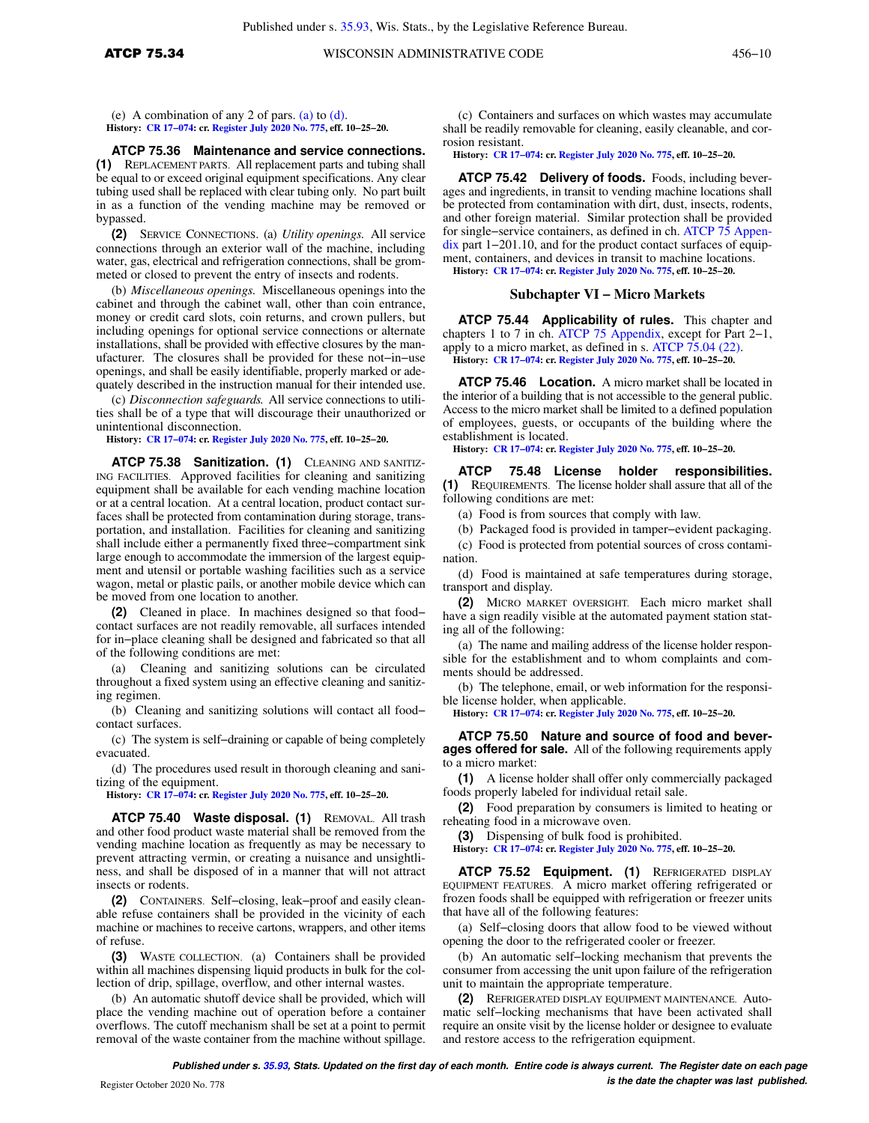**ATCP 75.34** WISCONSIN ADMINISTRATIVE CODE 456-10

(e) A combination of any 2 of pars. [\(a\)](https://docs.legis.wisconsin.gov/document/administrativecode/ATCP%2075.34(2)(a)) to [\(d\).](https://docs.legis.wisconsin.gov/document/administrativecode/ATCP%2075.34(2)(d)) **History: [CR 17−074](https://docs.legis.wisconsin.gov/document/cr/2017/74): cr. [Register July 2020 No. 775](https://docs.legis.wisconsin.gov/document/register/775/B/toc), eff. 10−25−20.**

#### **ATCP 75.36 Maintenance and service connections.**

**(1)** REPLACEMENT PARTS. All replacement parts and tubing shall be equal to or exceed original equipment specifications. Any clear tubing used shall be replaced with clear tubing only. No part built in as a function of the vending machine may be removed or bypassed.

**(2)** SERVICE CONNECTIONS. (a) *Utility openings.* All service connections through an exterior wall of the machine, including water, gas, electrical and refrigeration connections, shall be grommeted or closed to prevent the entry of insects and rodents.

(b) *Miscellaneous openings.* Miscellaneous openings into the cabinet and through the cabinet wall, other than coin entrance, money or credit card slots, coin returns, and crown pullers, but including openings for optional service connections or alternate installations, shall be provided with effective closures by the manufacturer. The closures shall be provided for these not−in−use openings, and shall be easily identifiable, properly marked or adequately described in the instruction manual for their intended use.

(c) *Disconnection safeguards.* All service connections to utilities shall be of a type that will discourage their unauthorized or unintentional disconnection.

**History: [CR 17−074](https://docs.legis.wisconsin.gov/document/cr/2017/74): cr. [Register July 2020 No. 775](https://docs.legis.wisconsin.gov/document/register/775/B/toc), eff. 10−25−20.**

**ATCP 75.38 Sanitization. (1)** CLEANING AND SANITIZ-ING FACILITIES. Approved facilities for cleaning and sanitizing equipment shall be available for each vending machine location or at a central location. At a central location, product contact surfaces shall be protected from contamination during storage, transportation, and installation. Facilities for cleaning and sanitizing shall include either a permanently fixed three−compartment sink large enough to accommodate the immersion of the largest equipment and utensil or portable washing facilities such as a service wagon, metal or plastic pails, or another mobile device which can be moved from one location to another.

**(2)** Cleaned in place. In machines designed so that food− contact surfaces are not readily removable, all surfaces intended for in−place cleaning shall be designed and fabricated so that all of the following conditions are met:

(a) Cleaning and sanitizing solutions can be circulated throughout a fixed system using an effective cleaning and sanitizing regimen.

(b) Cleaning and sanitizing solutions will contact all food− contact surfaces.

(c) The system is self−draining or capable of being completely evacuated.

(d) The procedures used result in thorough cleaning and sanitizing of the equipment.

**History: [CR 17−074](https://docs.legis.wisconsin.gov/document/cr/2017/74): cr. [Register July 2020 No. 775](https://docs.legis.wisconsin.gov/document/register/775/B/toc), eff. 10−25−20.**

**ATCP 75.40 Waste disposal. (1)** REMOVAL. All trash and other food product waste material shall be removed from the vending machine location as frequently as may be necessary to prevent attracting vermin, or creating a nuisance and unsightliness, and shall be disposed of in a manner that will not attract insects or rodents.

**(2)** CONTAINERS. Self−closing, leak−proof and easily cleanable refuse containers shall be provided in the vicinity of each machine or machines to receive cartons, wrappers, and other items of refuse.

**(3)** WASTE COLLECTION. (a) Containers shall be provided within all machines dispensing liquid products in bulk for the collection of drip, spillage, overflow, and other internal wastes.

(b) An automatic shutoff device shall be provided, which will place the vending machine out of operation before a container overflows. The cutoff mechanism shall be set at a point to permit removal of the waste container from the machine without spillage.

(c) Containers and surfaces on which wastes may accumulate shall be readily removable for cleaning, easily cleanable, and corrosion resistant.

**History: [CR 17−074:](https://docs.legis.wisconsin.gov/document/cr/2017/74) cr. [Register July 2020 No. 775](https://docs.legis.wisconsin.gov/document/register/775/B/toc), eff. 10−25−20.**

**ATCP 75.42 Delivery of foods.** Foods, including beverages and ingredients, in transit to vending machine locations shall be protected from contamination with dirt, dust, insects, rodents, and other foreign material. Similar protection shall be provided for single−service containers, as defined in ch. [ATCP 75 Appen](https://docs.legis.wisconsin.gov/document/administrativecode/ch.%20ATCP%2075%20Appendix)[dix](https://docs.legis.wisconsin.gov/document/administrativecode/ch.%20ATCP%2075%20Appendix) part 1−201.10, and for the product contact surfaces of equipment, containers, and devices in transit to machine locations. **History: [CR 17−074:](https://docs.legis.wisconsin.gov/document/cr/2017/74) cr. [Register July 2020 No. 775](https://docs.legis.wisconsin.gov/document/register/775/B/toc), eff. 10−25−20.**

# **Subchapter VI − Micro Markets**

**ATCP 75.44 Applicability of rules.** This chapter and chapters 1 to 7 in ch. [ATCP 75 Appendix,](https://docs.legis.wisconsin.gov/document/administrativecode/ch.%20ATCP%2075%20Appendix) except for Part 2−1, apply to a micro market, as defined in s. [ATCP 75.04 \(22\).](https://docs.legis.wisconsin.gov/document/administrativecode/ATCP%2075.04(22)) **History: [CR 17−074:](https://docs.legis.wisconsin.gov/document/cr/2017/74) cr. [Register July 2020 No. 775](https://docs.legis.wisconsin.gov/document/register/775/B/toc), eff. 10−25−20.**

**ATCP 75.46 Location.** A micro market shall be located in the interior of a building that is not accessible to the general public. Access to the micro market shall be limited to a defined population of employees, guests, or occupants of the building where the establishment is located.

**History: [CR 17−074:](https://docs.legis.wisconsin.gov/document/cr/2017/74) cr. [Register July 2020 No. 775](https://docs.legis.wisconsin.gov/document/register/775/B/toc), eff. 10−25−20.**

**ATCP 75.48 License holder responsibilities. (1)** REQUIREMENTS. The license holder shall assure that all of the following conditions are met:

(a) Food is from sources that comply with law.

(b) Packaged food is provided in tamper−evident packaging.

(c) Food is protected from potential sources of cross contamination.

(d) Food is maintained at safe temperatures during storage, transport and display.

**(2)** MICRO MARKET OVERSIGHT. Each micro market shall have a sign readily visible at the automated payment station stating all of the following:

(a) The name and mailing address of the license holder responsible for the establishment and to whom complaints and comments should be addressed.

(b) The telephone, email, or web information for the responsible license holder, when applicable.

**History: [CR 17−074:](https://docs.legis.wisconsin.gov/document/cr/2017/74) cr. [Register July 2020 No. 775](https://docs.legis.wisconsin.gov/document/register/775/B/toc), eff. 10−25−20.**

**ATCP 75.50 Nature and source of food and beverages offered for sale.** All of the following requirements apply to a micro market:

**(1)** A license holder shall offer only commercially packaged foods properly labeled for individual retail sale.

**(2)** Food preparation by consumers is limited to heating or reheating food in a microwave oven.

**(3)** Dispensing of bulk food is prohibited.

**History: [CR 17−074:](https://docs.legis.wisconsin.gov/document/cr/2017/74) cr. [Register July 2020 No. 775](https://docs.legis.wisconsin.gov/document/register/775/B/toc), eff. 10−25−20.**

**ATCP 75.52 Equipment. (1)** REFRIGERATED DISPLAY EQUIPMENT FEATURES. A micro market offering refrigerated or frozen foods shall be equipped with refrigeration or freezer units that have all of the following features:

(a) Self−closing doors that allow food to be viewed without opening the door to the refrigerated cooler or freezer.

(b) An automatic self−locking mechanism that prevents the consumer from accessing the unit upon failure of the refrigeration unit to maintain the appropriate temperature.

**(2)** REFRIGERATED DISPLAY EQUIPMENT MAINTENANCE. Automatic self−locking mechanisms that have been activated shall require an onsite visit by the license holder or designee to evaluate and restore access to the refrigeration equipment.

**Published under s. [35.93,](https://docs.legis.wisconsin.gov/document/statutes/35.93) Stats. Updated on the first day of each month. Entire code is always current. The Register date on each page is the date the chapter was last published.** Register October 2020 No. 778